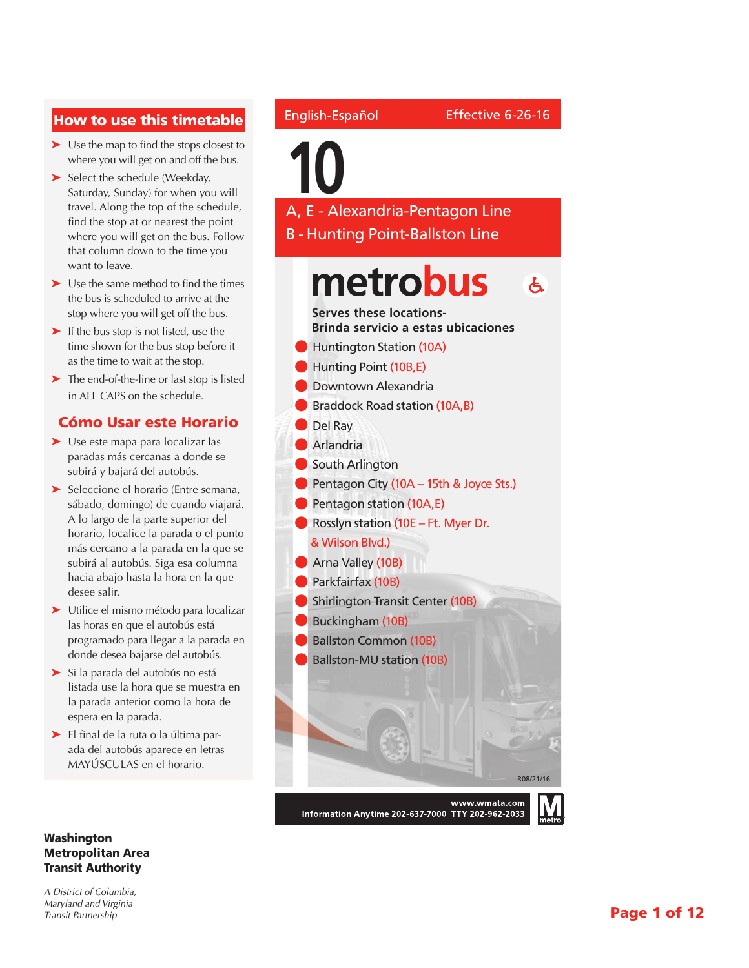#### How to use this timetable

- ➤ Use the map to find the stops closest to where you will get on and off the bus.
- ➤ Select the schedule (Weekday, Saturday, Sunday) for when you will travel. Along the top of the schedule, find the stop at or nearest the point where you will get on the bus. Follow that column down to the time you want to leave.
- ➤ Use the same method to find the times the bus is scheduled to arrive at the stop where you will get off the bus.
- ► If the bus stop is not listed, use the time shown for the bus stop before it as the time to wait at the stop.
- ➤ The end-of-the-line or last stop is listed in ALL CAPS on the schedule.

#### Cómo Usar este Horario

- ➤ Use este mapa para localizar las paradas más cercanas a donde se subirá y bajará del autobús.
- ➤ Seleccione el horario (Entre semana, sábado, domingo) de cuando viajará. A lo largo de la parte superior del horario, localice la parada o el punto más cercano a la parada en la que se subirá al autobús. Siga esa columna hacia abajo hasta la hora en la que desee salir.
- ➤ Utilice el mismo método para localizar las horas en que el autobús está programado para llegar a la parada en donde desea bajarse del autobús.
- ➤ Si la parada del autobús no está listada use la hora que se muestra en la parada anterior como la hora de espera en la parada.
- ➤ El final de la ruta o la última parada del autobús aparece en letras MAYÚSCULAS en el horario.

#### Washington Metropolitan Area Transit Authority

*A District of Columbia, Maryland and Virginia Transit Partnership*

#### English-Español

# **10**

A, E - Alexandria-Pentagon Line B - Hunting Point-Ballston Line

#### metrobus  $\mathbf{A}$

**Serves these locations-Brinda servicio a estas ubicaciones**

- **Huntington Station (10A)**
- Hunting Point (10B,E)
- l Downtown Alexandria
- Braddock Road station (10A,B)
- Del Ray
- **Arlandria**
- l South Arlington
- Pentagon City (10A 15th & Joyce Sts.)
- Pentagon station (10A,E)
- **C** Rosslyn station (10E Ft. Myer Dr.

#### & Wilson Blvd.)

- **Arna Valley (10B)**
- Parkfairfax (10B)
- **Shirlington Transit Center (10B)**
- Buckingham (10B)
- **Ballston Common (10B)**



Information Anytime 202-637-7000 TTY 202-962-2033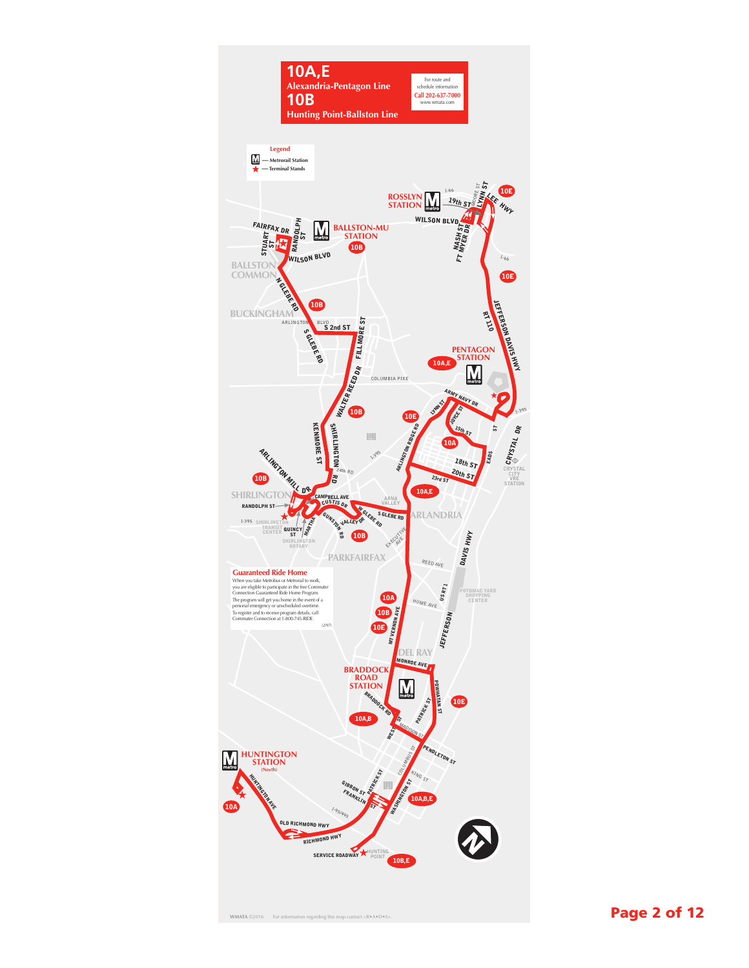

**WMATA** ©2016 For information regarding this map contact extends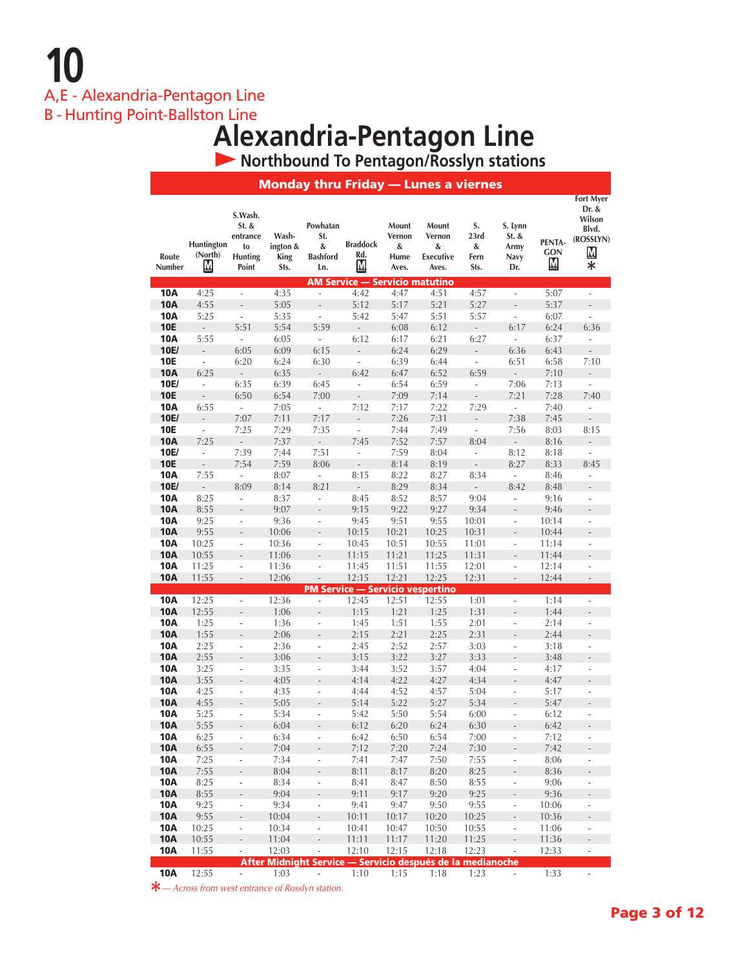**10** A,E - Alexandria-Pentagon Line

B - Hunting Point-Ballston Line

# **Alexandria-Pentagon Line**

 **Northbound To Pentagon/Rosslyn stations**

|                          |                            |                                                               |                                   |                                                   | <b>Monday thru Friday - Lunes a viernes</b>                         |                                       |                                                   |                                   |                                            |                                          |                                                                                                 |
|--------------------------|----------------------------|---------------------------------------------------------------|-----------------------------------|---------------------------------------------------|---------------------------------------------------------------------|---------------------------------------|---------------------------------------------------|-----------------------------------|--------------------------------------------|------------------------------------------|-------------------------------------------------------------------------------------------------|
| Route<br>Number          | Huntington<br>(North)<br>Μ | S.Wash.<br>St. &<br>entrance<br>to<br><b>Hunting</b><br>Point | Wash-<br>ington &<br>King<br>Sts. | Powhatan<br>St.<br>&<br><b>Bashford</b><br>Ln.    | <b>Braddock</b><br>Rd.<br><u>М</u>                                  | Mount<br>Vernon<br>&<br>Hume<br>Aves. | Mount<br>Vernon<br>&<br><b>Executive</b><br>Aves. | S.<br>23rd<br>&<br>Fern<br>Sts.   | S. Lynn<br>St. &<br>Army<br>Navy<br>Dr.    | PENTA-<br>GON<br>$\overline{\mathbf{M}}$ | <b>Fort Myer</b><br>Dr. &<br>Wilson<br>Blvd.<br>(ROSSLYN)<br>$\underline{\mathbf{M}}$<br>$\ast$ |
|                          |                            |                                                               |                                   |                                                   | <b>AM Service - Servicio matutino</b>                               |                                       |                                                   |                                   |                                            |                                          |                                                                                                 |
| <b>10A</b><br><b>10A</b> | 4:25<br>4:55               | $\overline{a}$<br>$\overline{a}$                              | 4:35<br>5:05                      | $\overline{a}$<br>$\centering \label{eq:reduced}$ | 4:42<br>5:12                                                        | 4:47<br>5:17                          | 4:51<br>5:21                                      | 4:57<br>5:27                      | ÷,<br>$\overline{a}$                       | 5:07<br>5:37                             | ÷.<br>$\frac{1}{2}$                                                                             |
| <b>10A</b>               | 5:25                       | $\overline{a}$                                                | 5:35                              | L,                                                | 5:42                                                                | 5:47                                  | 5:51                                              | 5:57                              | $\frac{1}{2}$                              | 6:07                                     | $\overline{a}$                                                                                  |
| <b>10E</b>               | ÷.                         | 5:51                                                          | 5:54                              | 5:59                                              | $\overline{a}$                                                      | 6:08                                  | 6:12                                              | $\sim$                            | 6:17                                       | 6:24                                     | 6:36                                                                                            |
| <b>10A</b>               | 5:55                       | $\frac{1}{2}$                                                 | 6:05                              | $\overline{\phantom{a}}$                          | 6:12                                                                | 6:17                                  | 6:21                                              | 6:27                              | L,                                         | 6:37                                     |                                                                                                 |
| 10E/                     | $\overline{\phantom{a}}$   | 6:05                                                          | 6:09                              | 6:15                                              | $\overline{a}$                                                      | 6:24                                  | 6:29                                              | $\overline{\phantom{a}}$          | 6:36                                       | 6:43                                     |                                                                                                 |
| <b>10E</b>               | ÷,                         | 6:20                                                          | 6:24                              | 6:30                                              | $\overline{\phantom{a}}$                                            | 6:39                                  | 6:44                                              | $\overline{\phantom{a}}$          | 6:51                                       | 6:58                                     | 7:10                                                                                            |
| <b>10A</b>               | 6:25                       | ÷,                                                            | 6:35                              | $\overline{\phantom{a}}$                          | 6:42                                                                | 6:47                                  | 6:52                                              | 6:59                              | $\mathbb{Z}^2$                             | 7:10                                     | $\frac{1}{2}$                                                                                   |
| 10E/                     | ÷,                         | 6:35                                                          | 6:39                              | 6:45                                              | ä,                                                                  | 6:54                                  | 6:59                                              | ÷,                                | 7:06                                       | 7:13                                     | ä,                                                                                              |
| <b>10E</b>               | $\frac{1}{2}$              | 6:50                                                          | 6:54                              | 7:00                                              | $\overline{\phantom{a}}$                                            | 7:09                                  | 7:14                                              | $\centerdot$                      | 7:21                                       | 7:28                                     | 7:40                                                                                            |
| <b>10A</b>               | 6:55                       | $\overline{\phantom{a}}$                                      | 7:05                              | $\mathcal{L}^{\mathcal{A}}$                       | 7:12                                                                | 7:17                                  | 7:22                                              | 7:29                              | ä,                                         | 7:40                                     | $\overline{\phantom{a}}$                                                                        |
| 10E/                     | $\overline{a}$             | 7:07                                                          | 7:11                              | 7:17                                              | $\overline{a}$                                                      | 7:26                                  | 7:31                                              | $\overline{\phantom{a}}$          | 7:38                                       | 7:45                                     | $\frac{1}{2}$                                                                                   |
| <b>10E</b>               | ÷,                         | 7:25                                                          | 7:29                              | 7:35                                              | ÷,                                                                  | 7:44                                  | 7:49                                              | $\overline{a}$                    | 7:56                                       | 8:03                                     | 8:15                                                                                            |
| <b>10A</b>               | 7:25                       | $\mathbb{Z}^2$                                                | 7:37                              | $\overline{\phantom{a}}$                          | 7:45                                                                | 7:52                                  | 7:57                                              | 8:04                              | ÷,                                         | 8:16                                     | $\overline{a}$                                                                                  |
| 10E/                     | $\overline{\phantom{a}}$   | 7:39                                                          | 7:44                              | 7:51                                              | $\Box$                                                              | 7:59                                  | 8:04                                              | $\Box$                            | 8:12                                       | 8:18                                     | $\overline{\phantom{a}}$                                                                        |
| <b>10E</b>               | $\overline{\phantom{a}}$   | 7:54                                                          | 7:59                              | 8:06                                              | $\frac{1}{2}$                                                       | 8:14                                  | 8:19                                              | ÷,                                | 8:27                                       | 8:33                                     | 8:45                                                                                            |
| <b>10A</b>               | 7:55                       | L,                                                            | 8:07                              | $\overline{\phantom{a}}$                          | 8:15                                                                | 8:22                                  | 8:27                                              | 8:34                              | $\overline{\phantom{a}}$                   | 8:46                                     | $\frac{1}{2}$                                                                                   |
| 10E/<br><b>10A</b>       | $\overline{a}$<br>8:25     | 8:09<br>L,                                                    | 8:14<br>8:37                      | 8:21<br>ä,                                        | L,                                                                  | 8:29<br>8:52                          | 8:34                                              | $\mathbb{Z}^{\mathbb{Z}}$<br>9:04 | 8:42<br>$\overline{\phantom{a}}$           | 8:48                                     | $\overline{a}$<br>$\overline{\phantom{a}}$                                                      |
| <b>10A</b>               | 8:55                       | $\overline{a}$                                                | 9:07                              | ÷,                                                | 8:45<br>9:15                                                        | 9:22                                  | 8:57<br>9:27                                      | 9:34                              | $\overline{a}$                             | 9:16<br>9:46                             | $\overline{a}$                                                                                  |
| <b>10A</b>               | 9:25                       | $\overline{a}$                                                | 9:36                              | ä,                                                | 9:45                                                                | 9:51                                  | 9:55                                              | 10:01                             | L,                                         | 10:14                                    | L,                                                                                              |
| <b>10A</b>               | 9:55                       | $\overline{a}$                                                | 10:06                             | $\overline{a}$                                    | 10:15                                                               | 10:21                                 | 10:25                                             | 10:31                             | $\overline{a}$                             | 10:44                                    | $\overline{a}$                                                                                  |
| <b>10A</b>               | 10:25                      | $\overline{\phantom{a}}$                                      | 10:36                             | $\overline{a}$                                    | 10:45                                                               | 10:51                                 | 10:55                                             | 11:01                             | $\overline{\phantom{a}}$                   | 11:14                                    | L.                                                                                              |
| <b>10A</b>               | 10:55                      | $\overline{a}$                                                | 11:06                             | $\overline{a}$                                    | 11:15                                                               | 11:21                                 | 11:25                                             | 11:31                             | $\overline{a}$                             | 11:44                                    | $\overline{a}$                                                                                  |
| <b>10A</b>               | 11:25                      | $\overline{a}$                                                | 11:36                             | $\overline{a}$                                    | 11:45                                                               | 11:51                                 | 11:55                                             | 12:01                             | ÷                                          | 12:14                                    | $\overline{\phantom{a}}$                                                                        |
| <b>10A</b>               | 11:55                      | $\overline{\phantom{0}}$                                      | 12:06                             | ÷                                                 | 12:15                                                               | 12:21                                 | 12:25                                             | 12:31                             | $\overline{\phantom{a}}$                   | 12:44                                    | ÷,                                                                                              |
|                          |                            |                                                               |                                   |                                                   | <b>PM Service - Servicio vespertino</b>                             |                                       |                                                   |                                   |                                            |                                          |                                                                                                 |
| <b>10A</b>               | 12:25                      | L,                                                            | 12:36                             | ÷                                                 | 12:45                                                               | 12:51                                 | 12:55                                             | 1:01                              | $\overline{\phantom{a}}$                   | 1:14                                     | ä,                                                                                              |
| <b>10A</b>               | 12:55                      | $\overline{a}$                                                | 1:06                              |                                                   | 1:15                                                                | 1:21                                  | 1:25                                              | 1:31                              | $\overline{a}$                             | 1:44                                     | $\overline{a}$                                                                                  |
| <b>10A</b>               | 1:25                       | ä,                                                            | 1:36                              | $\overline{a}$                                    | 1:45                                                                | 1:51                                  | 1:55                                              | 2:01                              | L,                                         | 2:14                                     | ä,                                                                                              |
| <b>10A</b>               | 1:55                       | $\overline{a}$                                                | 2:06                              | L,                                                | 2:15                                                                | 2:21                                  | 2:25                                              | 2:31                              | $\overline{a}$                             | 2:44                                     | $\overline{a}$                                                                                  |
| <b>10A</b>               | 2:25                       | L,                                                            | 2:36                              | L,                                                | 2:45                                                                | 2:52                                  | 2:57                                              | 3:03                              | L,                                         | 3:18                                     | L.                                                                                              |
| <b>10A</b>               | 2:55                       | $\overline{a}$                                                | 3:06                              | $\overline{a}$                                    | 3:15                                                                | 3:22                                  | 3:27                                              | 3:33                              | $\overline{a}$                             | 3:48                                     | L.                                                                                              |
| <b>10A</b><br><b>10A</b> | 3:25<br>3:55               | $\overline{a}$<br>$\overline{a}$                              | 3:35                              | $\overline{a}$<br>$\overline{a}$                  | 3:44                                                                | 3:52                                  | 3:57                                              | 4:04                              | $\overline{\phantom{a}}$<br>$\overline{a}$ | 4:17<br>4:47                             | ÷,                                                                                              |
| <b>10A</b>               | 4:25                       | ÷                                                             | 4:05<br>4:35                      | ÷,                                                | 4:14<br>4:44                                                        | 4:22<br>4:52                          | 4:27<br>4:57                                      | 4:34<br>5:04                      | $\overline{\phantom{a}}$                   | 5:17                                     |                                                                                                 |
| <b>10A</b>               | 4:55                       | $\overline{a}$                                                | 5:05                              | $\overline{a}$                                    | 5:14                                                                | 5:22                                  | 5:27                                              | 5:34                              | $\frac{1}{2}$                              | 5:47                                     |                                                                                                 |
| <b>10A</b>               | 5:25                       | ÷,                                                            | 5:34                              | $\overline{a}$                                    | 5:42                                                                | 5:50                                  | 5:54                                              | 6:00                              | ÷,                                         | 6:12                                     | ÷,                                                                                              |
| <b>10A</b>               | 5:55                       |                                                               | 6:04                              |                                                   | 6:12                                                                | 6:20                                  | 6:24                                              | 6:30                              |                                            | 6:42                                     |                                                                                                 |
| <b>10A</b>               | 6:25                       | $\overline{a}$                                                | 6:34                              | $\overline{a}$                                    | 6:42                                                                | 6:50                                  | 6:54                                              | 7:00                              | $\overline{a}$                             | 7:12                                     | ÷,                                                                                              |
| <b>10A</b>               | 6:55                       |                                                               | 7:04                              |                                                   | 7:12                                                                | 7:20                                  | 7:24                                              | 7:30                              |                                            | 7:42                                     |                                                                                                 |
| <b>10A</b>               | 7:25                       | ÷,                                                            | 7:34                              | L,                                                | 7:41                                                                | 7:47                                  | 7:50                                              | 7:55                              | ÷,                                         | 8:06                                     | $\overline{\phantom{0}}$                                                                        |
| <b>10A</b>               | 7:55                       | L,                                                            | 8:04                              | $\overline{a}$                                    | 8:11                                                                | 8:17                                  | 8:20                                              | 8:25                              | $\overline{a}$                             | 8:36                                     | $\overline{a}$                                                                                  |
| <b>10A</b>               | 8:25                       | ÷,                                                            | 8:34                              | ÷,                                                | 8:41                                                                | 8:47                                  | 8:50                                              | 8:55                              | ÷                                          | 9:06                                     | $\overline{\phantom{a}}$                                                                        |
| <b>10A</b>               | 8:55                       | $\overline{a}$                                                | 9:04                              | ÷,                                                | 9:11                                                                | 9:17                                  | 9:20                                              | 9:25                              | ÷,                                         | 9:36                                     | $\bar{\phantom{a}}$                                                                             |
| <b>10A</b>               | 9:25                       | $\overline{\phantom{a}}$                                      | 9:34                              | ÷                                                 | 9:41                                                                | 9:47                                  | 9:50                                              | 9:55                              | $\overline{\phantom{a}}$                   | 10:06                                    | $\overline{\phantom{a}}$                                                                        |
| <b>10A</b>               | 9:55                       | $\overline{a}$                                                | 10:04                             |                                                   | 10:11                                                               | 10:17                                 | 10:20                                             | 10:25                             | $\overline{a}$                             | 10:36                                    | $\overline{\phantom{0}}$                                                                        |
| <b>10A</b>               | 10:25                      | ÷,                                                            | 10:34                             | L,                                                | 10:41                                                               | 10:47                                 | 10:50                                             | 10:55                             | $\Box$                                     | 11:06                                    | ÷,                                                                                              |
| <b>10A</b>               | 10:55                      | ÷,                                                            | 11:04                             |                                                   | 11:11                                                               | 11:17                                 | 11:20                                             | 11:25                             | $\overline{\phantom{0}}$                   | 11:36                                    | $\overline{\phantom{a}}$                                                                        |
| <b>10A</b>               | 11:55                      | ÷,                                                            | 12:03                             |                                                   | 12:10<br>After Midnight Service - Servicio después de la medianoche | 12:15                                 | 12:18                                             | 12:23                             | $\overline{\phantom{a}}$                   | 12:33                                    | $\overline{\phantom{a}}$                                                                        |
| 10A                      | 12:55                      | $\mathbb{Z}^2$                                                | 1:03                              | ÷,                                                | 1:10                                                                | 1:15                                  | 1:18                                              | 1:23                              | ä,                                         | 1:33                                     | ä,                                                                                              |

**\****— Across from west entrance of Rosslyn station.*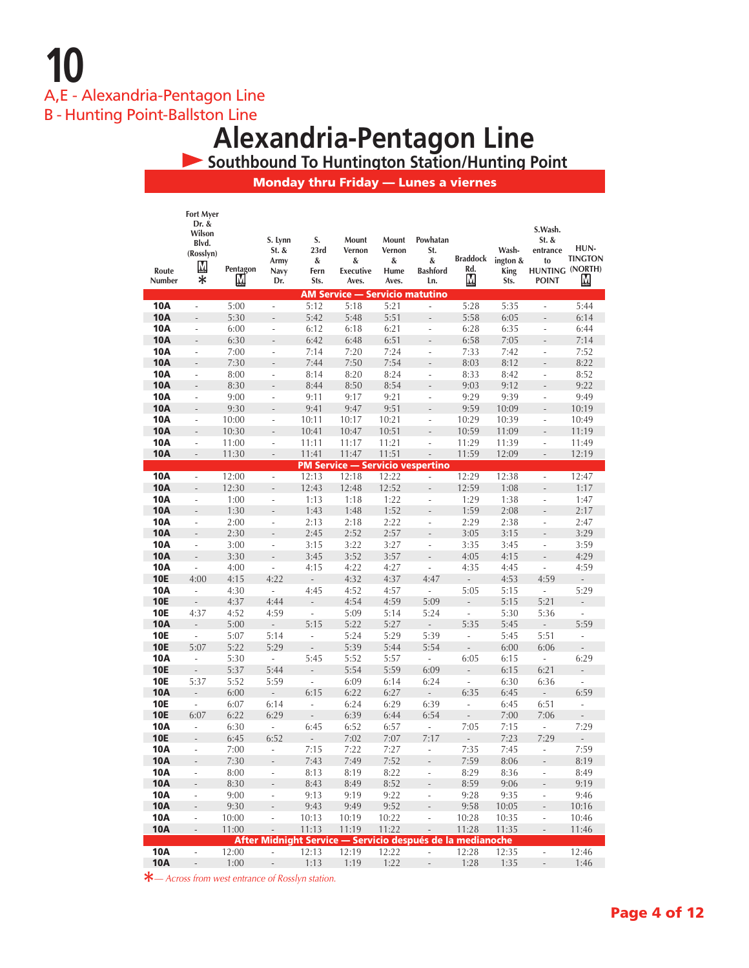**10** A,E - Alexandria-Pentagon Line

B - Hunting Point-Ballston Line

# **Alexandria-Pentagon Line**

 **Southbound To Huntington Station/Hunting Point**

Monday thru Friday — Lunes a viernes

|                          | <b>Fort Myer</b><br>Dr. &<br>Wilson<br>Blvd.         |                | S. Lynn                          | S.                               | Mount                                                      | Mount          | Powhatan                       |                          |                | S.Wash.<br>St. &                          | HUN-                     |
|--------------------------|------------------------------------------------------|----------------|----------------------------------|----------------------------------|------------------------------------------------------------|----------------|--------------------------------|--------------------------|----------------|-------------------------------------------|--------------------------|
|                          | (Rosslyn)                                            |                | St. &<br>Army                    | 23rd<br>&                        | Vernon<br>&                                                | Vernon<br>&    | St.<br>&                       | Braddock ington &        | Wash-          | entrance<br>to                            | <b>TINGTON</b>           |
| Route                    | $M_{\text{max}}$                                     | Pentagon       | Navy                             | Fern                             | Executive                                                  | Hume           | <b>Bashford</b>                | Rd.                      | King           | HUNTING (NORTH)                           |                          |
| Number                   | $\ast$                                               | М              | Dr.                              | Sts.                             | Aves.                                                      | Aves.          | Ln.                            | ${\bf M}$                | Sts.           | <b>POINT</b>                              | <u>M</u>                 |
|                          |                                                      |                |                                  |                                  | <b>AM Service - Servicio matutino</b>                      |                |                                |                          |                |                                           |                          |
| <b>10A</b>               | ÷,                                                   | 5:00           | $\overline{\phantom{a}}$         | 5:12                             | 5:18                                                       | 5:21           | ÷,                             | 5:28                     | 5:35           | $\overline{\phantom{a}}$                  | 5:44                     |
| <b>10A</b>               | L,                                                   | 5:30           | $\overline{\phantom{0}}$         | 5:42                             | 5:48                                                       | 5:51           | $\frac{1}{2}$                  | 5:58                     | 6:05           |                                           | 6:14                     |
| <b>10A</b>               | L,                                                   | 6:00           | $\frac{1}{2}$                    | 6:12                             | 6:18                                                       | 6:21           | ÷,                             | 6:28                     | 6:35           | $\overline{\phantom{a}}$                  | 6:44                     |
| <b>10A</b>               | $\overline{a}$                                       | 6:30           | $\overline{a}$                   | 6:42                             | 6:48                                                       | 6:51           | ÷,                             | 6:58                     | 7:05           | L.                                        | 7:14                     |
| <b>10A</b>               | $\overline{\phantom{a}}$                             | 7:00           | $\overline{\phantom{a}}$         | 7:14                             | 7:20                                                       | 7:24           | ÷,                             | 7:33                     | 7:42           | ÷,                                        | 7:52                     |
| <b>10A</b>               | $\overline{a}$                                       | 7:30           | $\overline{a}$                   | 7:44                             | 7:50                                                       | 7:54           | $\overline{a}$                 | 8:03                     | 8:12           | $\frac{1}{2}$                             | 8:22                     |
| <b>10A</b>               | ÷                                                    | 8:00           | $\overline{\phantom{a}}$         | 8:14                             | 8:20                                                       | 8:24           | $\overline{\phantom{a}}$       | 8:33                     | 8:42           | $\overline{\phantom{a}}$                  | 8:52                     |
| <b>10A</b>               | $\overline{a}$                                       | 8:30           | $\overline{a}$                   | 8:44                             | 8:50                                                       | 8:54           | $\frac{1}{2}$                  | 9:03                     | 9:12           | $\frac{1}{2}$                             | 9:22                     |
| <b>10A</b>               | ÷,                                                   | 9:00           | ÷.                               | 9:11                             | 9:17                                                       | 9:21           | ÷,                             | 9:29                     | 9:39           | ÷,                                        | 9:49                     |
| <b>10A</b>               | $\qquad \qquad \blacksquare$                         | 9:30           | $\overline{\phantom{a}}$         | 9:41                             | 9:47                                                       | 9:51           | $\overline{\phantom{a}}$       | 9:59                     | 10:09          | $\overline{\phantom{m}}$                  | 10:19                    |
| <b>10A</b><br><b>10A</b> | $\frac{1}{2}$                                        | 10:00          | $\overline{\phantom{a}}$         | 10:11<br>10:41                   | 10:17                                                      | 10:21<br>10:51 | ÷.                             | 10:29<br>10:59           | 10:39          | ÷,                                        | 10:49                    |
| <b>10A</b>               | $\overline{\phantom{m}}$<br>$\frac{1}{2}$            | 10:30          | $\frac{1}{2}$<br>÷,              |                                  | 10:47                                                      |                | $\overline{\phantom{a}}$<br>÷, |                          | 11:09          | $\overline{\phantom{m}}$<br>$\frac{1}{2}$ | 11:19                    |
| <b>10A</b>               | $\overline{\phantom{a}}$                             | 11:00<br>11:30 | $\overline{\phantom{a}}$         | 11:11<br>11:41                   | 11:17<br>11:47                                             | 11:21<br>11:51 | $\overline{\phantom{a}}$       | 11:29<br>11:59           | 11:39<br>12:09 | $\frac{1}{2}$                             | 11:49<br>12:19           |
|                          |                                                      |                |                                  |                                  | <b>PM Service - Servicio vespertino</b>                    |                |                                |                          |                |                                           |                          |
| <b>10A</b>               | $\overline{\phantom{a}}$                             | 12:00          | $\overline{\phantom{a}}$         | 12:13                            | 12:18                                                      | 12:22          | $\overline{\phantom{a}}$       | 12:29                    | 12:38          | $\overline{a}$                            | 12:47                    |
| <b>10A</b>               | $\overline{a}$                                       | 12:30          | $\overline{\phantom{a}}$         | 12:43                            | 12:48                                                      | 12:52          | $\overline{\phantom{a}}$       | 12:59                    | 1:08           | $\qquad \qquad -$                         | 1:17                     |
| <b>10A</b>               | $\overline{\phantom{a}}$                             | 1:00           | $\overline{\phantom{a}}$         | 1:13                             | 1:18                                                       | 1:22           | $\overline{\phantom{a}}$       | 1:29                     | 1:38           | $\frac{1}{2}$                             | 1:47                     |
| <b>10A</b>               | $\overline{\phantom{m}}$                             | 1:30           | $\frac{1}{2}$                    | 1:43                             | 1:48                                                       | 1:52           | $\qquad \qquad -$              | 1:59                     | 2:08           | ÷,                                        | 2:17                     |
| <b>10A</b>               | ÷,                                                   | 2:00           | ÷,                               | 2:13                             | 2:18                                                       | 2:22           | $\sim$                         | 2:29                     | 2:38           | ÷,                                        | 2:47                     |
| <b>10A</b>               | $\overline{\phantom{a}}$                             | 2:30           | $\overline{\phantom{a}}$         | 2:45                             | 2:52                                                       | 2:57           | $\overline{a}$                 | 3:05                     | 3:15           | $\overline{\phantom{a}}$                  | 3:29                     |
| <b>10A</b>               | $\overline{\phantom{a}}$                             | 3:00           | ÷,                               | 3:15                             | 3:22                                                       | 3:27           | ÷,                             | 3:35                     | 3:45           | ÷,                                        | 3:59                     |
| <b>10A</b>               | $\overline{a}$                                       | 3:30           | $\frac{1}{2}$                    | 3:45                             | 3:52                                                       | 3:57           | $\overline{a}$                 | 4:05                     | 4:15           | $\overline{a}$                            | 4:29                     |
| <b>10A</b>               | $\overline{\phantom{a}}$                             | 4:00           | ÷,                               | 4:15                             | 4:22                                                       | 4:27           | $\overline{\phantom{a}}$       | 4:35                     | 4:45           | ÷.                                        | 4:59                     |
| <b>10E</b>               | 4:00                                                 | 4:15           | 4:22                             | $\overline{\phantom{a}}$         | 4:32                                                       | 4:37           | 4:47                           | $\mathbb{Z}^2$           | 4:53           | 4:59                                      | ÷,                       |
| 10A                      | $\overline{\phantom{a}}$                             | 4:30           | $\overline{\phantom{a}}$         | 4:45                             | 4:52                                                       | 4:57           | $\overline{\phantom{a}}$       | 5:05                     | 5:15           | $\overline{\phantom{a}}$                  | 5:29                     |
| <b>10E</b>               | $\overline{a}$                                       | 4:37           | 4:44                             | $\frac{1}{2}$                    | 4:54                                                       | 4:59           | 5:09                           | L,                       | 5:15           | 5:21                                      | ÷,                       |
| <b>10E</b>               | 4:37                                                 | 4:52           | 4:59                             | $\overline{\phantom{a}}$         | 5:09                                                       | 5:14           | 5:24                           | L,                       | 5:30           | 5:36                                      | $\overline{\phantom{a}}$ |
| <b>10A</b>               | $\frac{1}{2}$                                        | 5:00           | $\frac{1}{2}$                    | 5:15                             | 5:22                                                       | 5:27           | $\overline{a}$                 | 5:35                     | 5:45           | $\overline{\phantom{a}}$                  | 5:59                     |
| <b>10E</b>               | $\overline{\phantom{a}}$                             | 5:07           | 5:14                             | $\overline{\phantom{a}}$         | 5:24                                                       | 5:29           | 5:39                           | $\overline{\phantom{a}}$ | 5:45           | 5:51                                      | $\overline{\phantom{a}}$ |
| <b>10E</b>               | 5:07                                                 | 5:22           | 5:29                             | $\centering \label{eq:reduced}$  | 5:39                                                       | 5:44           | 5:54                           | $\overline{a}$           | 6:00           | 6:06                                      |                          |
| <b>10A</b>               | $\overline{\phantom{a}}$                             | 5:30           | ä,                               | 5:45                             | 5:52                                                       | 5:57           | ÷,                             | 6:05                     | 6:15           | $\overline{\phantom{a}}$                  | 6:29                     |
| <b>10E</b>               | $\overline{\phantom{m}}$                             | 5:37           | 5:44                             | L.                               | 5:54                                                       | 5:59           | 6:09                           | L.                       | 6:15           | 6:21                                      | $\mathcal{L}^{\pm}$      |
| <b>10E</b>               | 5:37                                                 | 5:52           | 5:59                             | $\overline{\phantom{a}}$         | 6:09                                                       | 6:14           | 6:24                           | $\overline{\phantom{a}}$ | 6:30           | 6:36                                      | ÷,                       |
| <b>10A</b><br><b>10E</b> | $\overline{\phantom{a}}$<br>$\overline{\phantom{a}}$ | 6:00           | $\overline{\phantom{a}}$<br>6:14 | 6:15<br>$\overline{\phantom{a}}$ | 6:22<br>6:24                                               | 6:27<br>6:29   | $\overline{a}$<br>6:39         | 6:35<br>i,               | 6:45           | $\sim$<br>6:51                            | 6:59                     |
| <b>10E</b>               | 6:07                                                 | 6:07<br>6:22   | 6:29                             | $\frac{1}{2}$                    | 6:39                                                       | 6:44           | 6:54                           | -                        | 6:45<br>7:00   | 7:06                                      | ÷                        |
| 10A                      | $\overline{\phantom{a}}$                             | 6:30           | $\overline{\phantom{a}}$         | 6:45                             | 6:52                                                       | 6:57           | ÷,                             | 7:05                     | 7:15           | $\overline{\phantom{a}}$                  | 7:29                     |
| <b>10E</b>               | $\overline{\phantom{a}}$                             | 6:45           | 6:52                             | $\overline{a}$                   | 7:02                                                       | 7:07           | 7:17                           |                          | 7:23           | 7:29                                      |                          |
| 10A                      | ä,                                                   | 7:00           | L.                               | 7:15                             | 7:22                                                       | 7:27           | ä,                             | 7:35                     | 7:45           | $\overline{\phantom{a}}$                  | 7:59                     |
| <b>10A</b>               | $\overline{a}$                                       | 7:30           |                                  | 7:43                             | 7:49                                                       | 7:52           |                                | 7:59                     | 8:06           |                                           | 8:19                     |
| <b>10A</b>               | ÷,                                                   | 8:00           | $\overline{\phantom{a}}$         | 8:13                             | 8:19                                                       | 8:22           |                                | 8:29                     | 8:36           | $\overline{\phantom{a}}$                  | 8:49                     |
| <b>10A</b>               | $\overline{\phantom{a}}$                             | 8:30           | $\overline{a}$                   | 8:43                             | 8:49                                                       | 8:52           |                                | 8:59                     | 9:06           |                                           | 9:19                     |
| <b>10A</b>               | $\overline{\phantom{a}}$                             | 9:00           | $\overline{\phantom{a}}$         | 9:13                             | 9:19                                                       | 9:22           | ÷,                             | 9:28                     | 9:35           | $\overline{\phantom{a}}$                  | 9:46                     |
| <b>10A</b>               | $\frac{1}{2}$                                        | 9:30           | $\overline{\phantom{a}}$         | 9:43                             | 9:49                                                       | 9:52           | $\overline{a}$                 | 9:58                     | 10:05          | $\overline{\phantom{a}}$                  | 10:16                    |
| <b>10A</b>               | $\overline{\phantom{a}}$                             | 10:00          | $\overline{\phantom{a}}$         | 10:13                            | 10:19                                                      | 10:22          | $\overline{\phantom{a}}$       | 10:28                    | 10:35          | $\overline{\phantom{a}}$                  | 10:46                    |
| <b>10A</b>               | $\overline{\phantom{a}}$                             | 11:00          | $\overline{\phantom{a}}$         | 11:13                            | 11:19                                                      | 11:22          | $\overline{\phantom{a}}$       | 11:28                    | 11:35          | $\overline{\phantom{a}}$                  | 11:46                    |
|                          |                                                      |                |                                  |                                  | After Midnight Service - Servicio después de la medianoche |                |                                |                          |                |                                           |                          |
| <b>10A</b>               | $\overline{\phantom{a}}$                             | 12:00          | ÷,                               | 12:13                            | 12:19                                                      | 12:22          | $\frac{1}{2}$                  | 12:28                    | 12:35          | $\Box$                                    | 12:46                    |
| <b>10A</b>               | $\overline{\phantom{a}}$                             | 1:00           | $\qquad \qquad -$                | 1:13                             | 1:19                                                       | 1:22           | $\overline{\phantom{m}}$       | 1:28                     | 1:35           | $\qquad \qquad -$                         | 1:46                     |

**\****— Across from west entrance of Rosslyn station.*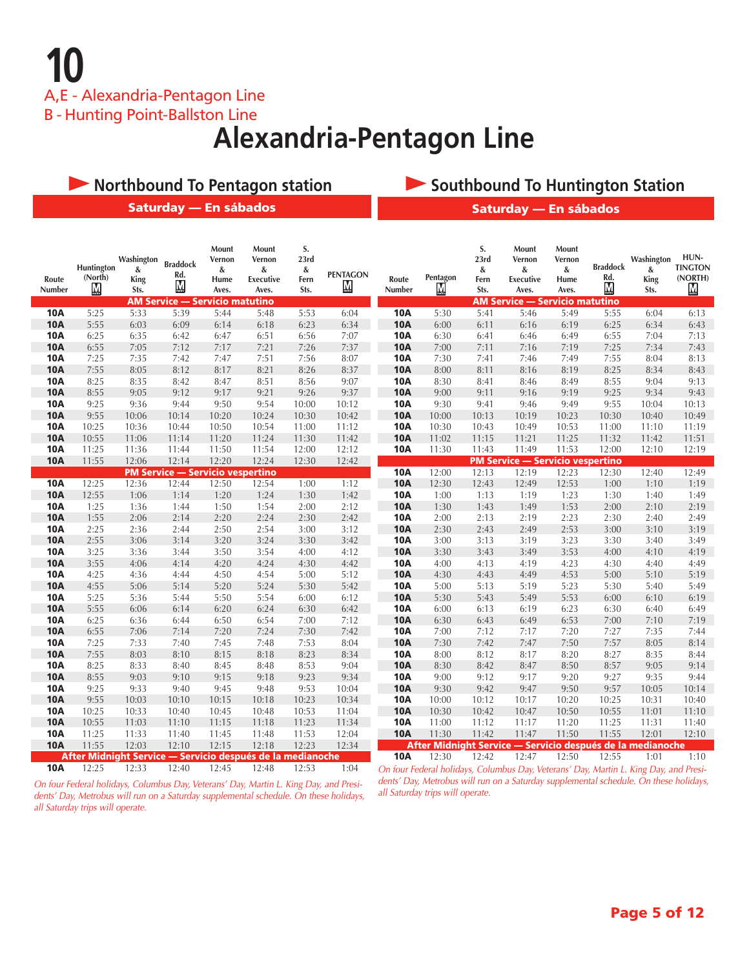**10** A,E - Alexandria-Pentagon Line

B - Hunting Point-Ballston Line

### **Alexandria-Pentagon Line**

|                          | <b>Northbound To Pentagon station</b> |                                        |                                                               |                                       |                                                            |                                 |                                     |                          |                         |                                 | <b>Southbound To Huntington Station</b>                                               |                                       |                                                   |                                 |                                                              |
|--------------------------|---------------------------------------|----------------------------------------|---------------------------------------------------------------|---------------------------------------|------------------------------------------------------------|---------------------------------|-------------------------------------|--------------------------|-------------------------|---------------------------------|---------------------------------------------------------------------------------------|---------------------------------------|---------------------------------------------------|---------------------------------|--------------------------------------------------------------|
|                          |                                       |                                        | Saturday - En sábados                                         |                                       |                                                            |                                 |                                     |                          |                         |                                 | Saturday - En sábados                                                                 |                                       |                                                   |                                 |                                                              |
| Route<br>Number          | Huntington<br>(North)<br>${\bf M}$    | Washington<br>&<br><b>King</b><br>Sts. | <b>Braddock</b><br>Rd.<br>M<br>AM Service — Servicio matutino | Mount<br>Vernon<br>&<br>Hume<br>Aves. | Mount<br>Vernon<br>&<br><b>Executive</b><br>Aves.          | S.<br>23rd<br>&<br>Fern<br>Sts. | <b>PENTAGON</b><br>$M_{\text{max}}$ | Route<br>Number          | Pentagon<br>$\mathbf M$ | S.<br>23rd<br>&<br>Fern<br>Sts. | Mount<br>Vernon<br>&<br><b>Executive</b><br>Aves.<br>AM Service — Servicio matutino   | Mount<br>Vernon<br>&<br>Hume<br>Aves. | <b>Braddock</b><br>Rd.<br>$\overline{\mathbf{M}}$ | Washington<br>&<br>King<br>Sts. | HUN-<br><b>TINGTON</b><br>(NORTH)<br>$\overline{\mathsf{M}}$ |
| <b>10A</b>               | 5:25                                  | 5:33                                   | 5:39                                                          | 5:44                                  | 5:48                                                       | 5:53                            | 6:04                                | <b>10A</b>               | 5:30                    | 5:41                            | 5:46                                                                                  | 5:49                                  | 5:55                                              | 6:04                            | 6:13                                                         |
| <b>10A</b>               | 5:55                                  | 6:03                                   | 6:09                                                          | 6:14                                  | 6:18                                                       | 6:23                            | 6:34                                | <b>10A</b>               | 6:00                    | 6:11                            | 6:16                                                                                  | 6:19                                  | 6:25                                              | 6:34                            | 6:43                                                         |
| <b>10A</b>               | 6:25                                  | 6:35                                   | 6:42                                                          | 6:47                                  | 6:51                                                       | 6:56                            | 7:07                                | <b>10A</b>               | 6:30                    | 6:41                            | 6:46                                                                                  | 6:49                                  | 6:55                                              | 7:04                            | 7:13                                                         |
| <b>10A</b>               | 6:55                                  | 7:05                                   | 7:12                                                          | 7:17                                  | 7:21                                                       | 7:26                            | 7:37                                | <b>10A</b>               | 7:00                    | 7:11                            | 7:16                                                                                  | 7:19                                  | 7:25                                              | 7:34                            | 7:43                                                         |
| <b>10A</b>               | 7:25                                  | 7:35                                   | 7:42                                                          | 7:47                                  | 7:51                                                       | 7:56                            | 8:07                                | <b>10A</b>               | 7:30                    | 7:41                            | 7:46                                                                                  | 7:49                                  | 7:55                                              | 8:04                            | 8:13                                                         |
| <b>10A</b>               | 7:55                                  | 8:05                                   | 8:12                                                          | 8:17                                  | 8:21                                                       | 8:26                            | 8:37                                | <b>10A</b>               | 8:00                    | 8:11                            | 8:16                                                                                  | 8:19                                  | 8:25                                              | 8:34                            | 8:43                                                         |
| <b>10A</b>               | 8:25                                  | 8:35                                   | 8:42                                                          | 8:47                                  | 8:51                                                       | 8:56                            | 9:07                                | <b>10A</b>               | 8:30                    | 8:41                            | 8:46                                                                                  | 8:49                                  | 8:55                                              | 9:04                            | 9:13                                                         |
| <b>10A</b>               | 8:55                                  | 9:05                                   | 9:12                                                          | 9:17                                  | 9:21                                                       | 9:26                            | 9:37                                | <b>10A</b>               | 9:00                    | 9:11                            | 9:16                                                                                  | 9:19                                  | 9:25                                              | 9:34                            | 9:43                                                         |
| <b>10A</b>               | 9:25                                  | 9:36                                   | 9:44                                                          | 9:50                                  | 9:54                                                       | 10:00                           | 10:12                               | <b>10A</b>               | 9:30                    | 9:41                            | 9:46                                                                                  | 9:49                                  | 9:55                                              | 10:04                           | 10:13                                                        |
| <b>10A</b>               | 9:55                                  | 10:06                                  | 10:14                                                         | 10:20                                 | 10:24                                                      | 10:30                           | 10:42                               | <b>10A</b>               | 10:00                   | 10:13                           | 10:19                                                                                 | 10:23                                 | 10:30                                             | 10:40                           | 10:49                                                        |
| <b>10A</b>               | 10:25                                 | 10:36                                  | 10:44                                                         | 10:50                                 | 10:54                                                      | 11:00                           | 11:12                               | <b>10A</b>               | 10:30                   | 10:43                           | 10:49                                                                                 | 10:53                                 | 11:00                                             | 11:10                           | 11:19                                                        |
| <b>10A</b>               | 10:55                                 | 11:06                                  | 11:14                                                         | 11:20                                 | 11:24                                                      | 11:30                           | 11:42                               | <b>10A</b>               | 11:02                   | 11:15                           | 11:21                                                                                 | 11:25                                 | 11:32                                             | 11:42                           | 11:51                                                        |
| <b>10A</b>               | 11:25                                 | 11:36                                  | 11:44                                                         | 11:50                                 | 11:54                                                      | 12:00                           | 12:12                               | <b>10A</b>               | 11:30                   | 11:43                           | 11:49                                                                                 | 11:53                                 | 12:00                                             | 12:10                           | 12:19                                                        |
| <b>10A</b>               | 11:55                                 | 12:06                                  | 12:14                                                         | 12:20                                 | 12:24                                                      | 12:30                           | 12:42                               |                          |                         |                                 | <b>PM Service - Servicio vespertino</b>                                               |                                       |                                                   |                                 |                                                              |
|                          |                                       |                                        | <b>PM Service - Servicio vespertino</b>                       |                                       |                                                            |                                 |                                     | <b>10A</b>               | 12:00                   | 12:13                           | 12:19                                                                                 | 12:23                                 | 12:30                                             | 12:40                           | 12:49                                                        |
| <b>10A</b>               | 12:25                                 | 12:36                                  | 12:44                                                         | 12:50                                 | 12:54                                                      | 1:00                            | 1:12                                | <b>10A</b>               | 12:30                   | 12:43                           | 12:49                                                                                 | 12:53                                 | 1:00                                              | 1:10                            | 1:19                                                         |
| <b>10A</b>               | 12:55                                 | 1:06                                   | 1:14                                                          | 1:20                                  | 1:24                                                       | 1:30                            | 1:42                                | <b>10A</b>               | 1:00                    | 1:13                            | 1:19                                                                                  | 1:23                                  | 1:30                                              | 1:40                            | 1:49                                                         |
| <b>10A</b>               | 1:25<br>1:55                          | 1:36                                   | 1:44                                                          | 1:50<br>2:20                          | 1:54<br>2:24                                               | 2:00<br>2:30                    | 2:12<br>2:42                        | <b>10A</b>               | 1:30<br>2:00            | 1:43                            | 1:49                                                                                  | 1:53<br>2:23                          | 2:00                                              | 2:10                            | 2:19<br>2:49                                                 |
| <b>10A</b><br><b>10A</b> | 2:25                                  | 2:06<br>2:36                           | 2:14<br>2:44                                                  | 2:50                                  | 2:54                                                       | 3:00                            | 3:12                                | <b>10A</b><br><b>10A</b> | 2:30                    | 2:13<br>2:43                    | 2:19<br>2:49                                                                          | 2:53                                  | 2:30<br>3:00                                      | 2:40<br>3:10                    | 3:19                                                         |
| <b>10A</b>               | 2:55                                  | 3:06                                   | 3:14                                                          | 3:20                                  | 3:24                                                       | 3:30                            | 3:42                                | <b>10A</b>               | 3:00                    | 3:13                            | 3:19                                                                                  | 3:23                                  | 3:30                                              | 3:40                            | 3:49                                                         |
| <b>10A</b>               | 3:25                                  | 3:36                                   | 3:44                                                          | 3:50                                  | 3:54                                                       | 4:00                            | 4:12                                | <b>10A</b>               | 3:30                    | 3:43                            | 3:49                                                                                  | 3:53                                  | 4:00                                              | 4:10                            | 4:19                                                         |
| <b>10A</b>               | 3:55                                  | 4:06                                   | 4:14                                                          | 4:20                                  | 4:24                                                       | 4:30                            | 4:42                                | <b>10A</b>               | 4:00                    | 4:13                            | 4:19                                                                                  | 4:23                                  | 4:30                                              | 4:40                            | 4:49                                                         |
| <b>10A</b>               | 4:25                                  | 4:36                                   | 4:44                                                          | 4:50                                  | 4:54                                                       | 5:00                            | 5:12                                | <b>10A</b>               | 4:30                    | 4:43                            | 4:49                                                                                  | 4:53                                  | 5:00                                              | 5:10                            | 5:19                                                         |
| <b>10A</b>               | 4:55                                  | 5:06                                   | 5:14                                                          | 5:20                                  | 5:24                                                       | 5:30                            | 5:42                                | <b>10A</b>               | 5:00                    | 5:13                            | 5:19                                                                                  | 5:23                                  | 5:30                                              | 5:40                            | 5:49                                                         |
| <b>10A</b>               | 5:25                                  | 5:36                                   | 5:44                                                          | 5:50                                  | 5:54                                                       | 6:00                            | 6:12                                | <b>10A</b>               | 5:30                    | 5:43                            | 5:49                                                                                  | 5:53                                  | 6:00                                              | 6:10                            | 6:19                                                         |
| <b>10A</b>               | 5:55                                  | 6:06                                   | 6:14                                                          | 6:20                                  | 6:24                                                       | 6:30                            | 6:42                                | <b>10A</b>               | 6:00                    | 6:13                            | 6:19                                                                                  | 6:23                                  | 6:30                                              | 6:40                            | 6:49                                                         |
| <b>10A</b>               | 6:25                                  | 6:36                                   | 6:44                                                          | 6:50                                  | 6:54                                                       | 7:00                            | 7:12                                | <b>10A</b>               | 6:30                    | 6:43                            | 6:49                                                                                  | 6:53                                  | 7:00                                              | 7:10                            | 7:19                                                         |
| <b>10A</b>               | 6:55                                  | 7:06                                   | 7:14                                                          | 7:20                                  | 7:24                                                       | 7:30                            | 7:42                                | <b>10A</b>               | 7:00                    | 7:12                            | 7:17                                                                                  | 7:20                                  | 7:27                                              | 7:35                            | 7:44                                                         |
| <b>10A</b>               | 7:25                                  | 7:33                                   | 7:40                                                          | 7:45                                  | 7:48                                                       | 7:53                            | 8:04                                | <b>10A</b>               | 7:30                    | 7:42                            | 7:47                                                                                  | 7:50                                  | 7:57                                              | 8:05                            | 8:14                                                         |
| <b>10A</b>               | 7:55                                  | 8:03                                   | 8:10                                                          | 8:15                                  | 8:18                                                       | 8:23                            | 8:34                                | <b>10A</b>               | 8:00                    | 8:12                            | 8:17                                                                                  | 8:20                                  | 8:27                                              | 8:35                            | 8:44                                                         |
| <b>10A</b>               | 8:25                                  | 8:33                                   | 8:40                                                          | 8:45                                  | 8:48                                                       | 8:53                            | 9:04                                | <b>10A</b>               | 8:30                    | 8:42                            | 8:47                                                                                  | 8:50                                  | 8:57                                              | 9:05                            | 9:14                                                         |
| <b>10A</b>               | 8:55                                  | 9:03                                   | 9:10                                                          | 9:15                                  | 9:18                                                       | 9:23                            | 9:34                                | <b>10A</b>               | 9:00                    | 9:12                            | 9:17                                                                                  | 9:20                                  | 9:27                                              | 9:35                            | 9:44                                                         |
| <b>10A</b>               | 9:25                                  | 9:33                                   | 9:40                                                          | 9:45                                  | 9:48                                                       | 9:53                            | 10:04                               | <b>10A</b>               | 9:30                    | 9:42                            | 9:47                                                                                  | 9:50                                  | 9:57                                              | 10:05                           | 10:14                                                        |
| <b>10A</b>               | 9:55                                  | 10:03                                  | 10:10                                                         | 10:15                                 | 10:18                                                      | 10:23                           | 10:34                               | <b>10A</b>               | 10:00                   | 10:12                           | 10:17                                                                                 | 10:20                                 | 10:25                                             | 10:31                           | 10:40                                                        |
| <b>10A</b>               | 10:25                                 | 10:33                                  | 10:40                                                         | 10:45                                 | 10:48                                                      | 10:53                           | 11:04                               | <b>10A</b>               | 10:30                   | 10:42                           | 10:47                                                                                 | 10:50                                 | 10:55                                             | 11:01                           | 11:10                                                        |
| <b>10A</b>               | 10:55                                 | 11:03                                  | 11:10                                                         | 11:15                                 | 11:18                                                      | 11:23                           | 11:34                               | <b>10A</b>               | 11:00                   | 11:12                           | 11:17                                                                                 | 11:20                                 | 11:25                                             | 11:31                           | 11:40                                                        |
| <b>10A</b>               | 11:25                                 | 11:33                                  | 11:40                                                         | 11:45                                 | 11:48                                                      | 11:53                           | 12:04                               | <b>10A</b>               | 11:30                   | 11:42                           | 11:47                                                                                 | 11:50                                 | 11:55                                             | 12:01                           | 12:10                                                        |
| <b>10A</b>               | 11:55                                 | 12:03                                  | 12:10                                                         | 12:15                                 | 12:18                                                      | 12:23                           | 12:34                               |                          |                         |                                 | After Midnight Service — Servicio después de la medianoche                            |                                       |                                                   |                                 |                                                              |
|                          |                                       |                                        |                                                               |                                       | After Midnight Service — Servicio después de la medianoche |                                 |                                     | <b>10A</b>               | 12:30                   | 12:42                           | 12:47                                                                                 | 12:50                                 | 12:55                                             | 1:01                            | 1:10                                                         |
| <b>10A</b>               | 12:25                                 | 12:33                                  | 12:40                                                         | 12:45                                 | 12:48                                                      | 12:53                           | 1:04                                |                          |                         |                                 | On four Federal holidays, Columbus Day, Veterans' Day, Martin L. King Day, and Presi- |                                       |                                                   |                                 |                                                              |

*On four Federal holidays, Columbus Day, Veterans' Day, Martin L. King Day, and Presidents' Day, Metrobus will run on a Saturday supplemental schedule. On these holidays, all Saturday trips will operate.*

*On four Federal holidays, Columbus Day, Veterans' Day, Martin L. King Day, and Presidents' Day, Metrobus will run on a Saturday supplemental schedule. On these holidays, all Saturday trips will operate.*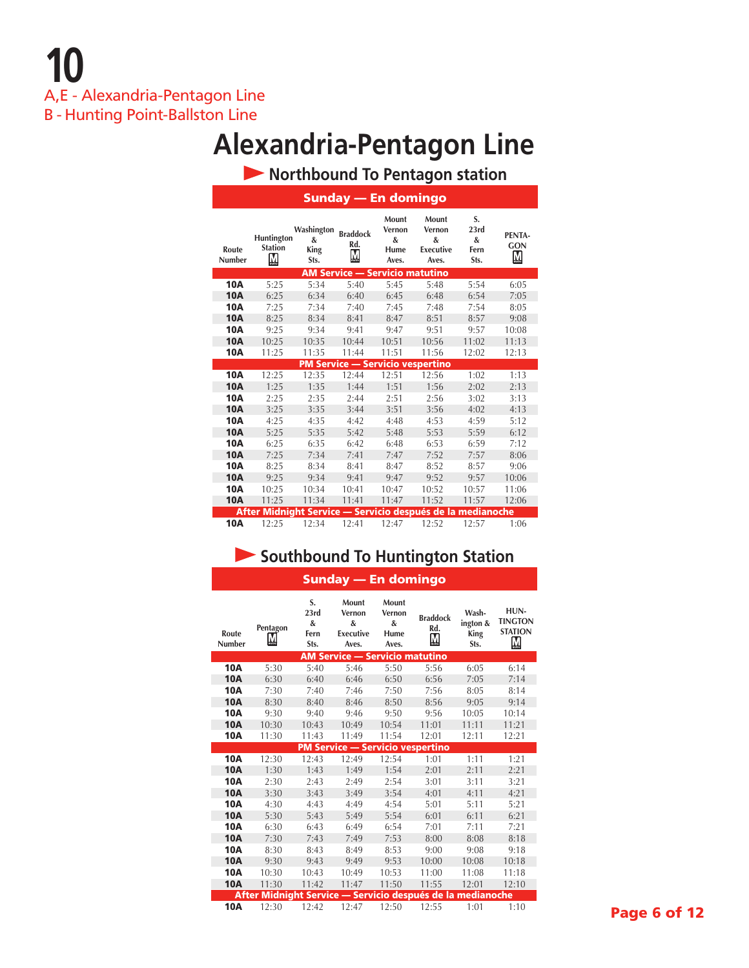# **Alexandria-Pentagon Line**

 **Northbound To Pentagon station**

|                        |                                                            |                                 | <b>Sunday — En domingo</b>              |                                       |                                                   |                                 |                                     |
|------------------------|------------------------------------------------------------|---------------------------------|-----------------------------------------|---------------------------------------|---------------------------------------------------|---------------------------------|-------------------------------------|
| Route<br><b>Number</b> | Huntington<br><b>Station</b><br>M                          | Washington<br>&<br>King<br>Sts. | <b>Braddock</b><br>Rd.<br><u>М</u>      | Mount<br>Vernon<br>&<br>Hume<br>Aves. | Mount<br>Vernon<br>&<br><b>Executive</b><br>Aves. | S.<br>23rd<br>&<br>Fern<br>Sts. | PENTA-<br><b>GON</b><br>$\mathbf M$ |
|                        |                                                            |                                 | <b>AM Service - Servicio matutino</b>   |                                       |                                                   |                                 |                                     |
| <b>10A</b>             | 5:25                                                       | 5:34                            | 5:40                                    | 5:45                                  | 5:48                                              | 5:54                            | 6:05                                |
| <b>10A</b>             | 6:25                                                       | 6:34                            | 6:40                                    | 6:45                                  | 6:48                                              | 6:54                            | 7:05                                |
| <b>10A</b>             | 7:25                                                       | 7:34                            | 7:40                                    | 7:45                                  | 7:48                                              | 7:54                            | 8:05                                |
| <b>10A</b>             | 8:25                                                       | 8:34                            | 8:41                                    | 8:47                                  | 8:51                                              | 8:57                            | 9:08                                |
| <b>10A</b>             | 9:25                                                       | 9:34                            | 9:41                                    | 9:47                                  | 9:51                                              | 9:57                            | 10:08                               |
| <b>10A</b>             | 10:25                                                      | 10:35                           | 10:44                                   | 10:51                                 | 10:56                                             | 11:02                           | 11:13                               |
| <b>10A</b>             | 11:25                                                      | 11:35                           | 11:44                                   | 11:51                                 | 11:56                                             | 12:02                           | 12:13                               |
|                        |                                                            |                                 | <b>PM Service - Servicio vespertino</b> |                                       |                                                   |                                 |                                     |
| <b>10A</b>             | 12:25                                                      | 12:35                           | 12:44                                   | 12:51                                 | 12:56                                             | 1:02                            | 1:13                                |
| <b>10A</b>             | 1:25                                                       | 1:35                            | 1:44                                    | 1:51                                  | 1:56                                              | 2:02                            | 2:13                                |
| <b>10A</b>             | 2:25                                                       | 2:35                            | 2:44                                    | 2:51                                  | 2:56                                              | 3:02                            | 3:13                                |
| <b>10A</b>             | 3:25                                                       | 3:35                            | 3:44                                    | 3:51                                  | 3:56                                              | 4:02                            | 4:13                                |
| <b>10A</b>             | 4:25                                                       | 4:35                            | 4:42                                    | 4:48                                  | 4:53                                              | 4:59                            | 5:12                                |
| <b>10A</b>             | 5:25                                                       | 5:35                            | 5:42                                    | 5:48                                  | 5:53                                              | 5:59                            | 6:12                                |
| <b>10A</b>             | 6:25                                                       | 6:35                            | 6:42                                    | 6:48                                  | 6:53                                              | 6:59                            | 7:12                                |
| <b>10A</b>             | 7:25                                                       | 7:34                            | 7:41                                    | 7:47                                  | 7:52                                              | 7:57                            | 8:06                                |
| <b>10A</b>             | 8:25                                                       | 8:34                            | 8:41                                    | 8:47                                  | 8:52                                              | 8:57                            | 9:06                                |
| <b>10A</b>             | 9:25                                                       | 9:34                            | 9:41                                    | 9:47                                  | 9:52                                              | 9:57                            | 10:06                               |
| <b>10A</b>             | 10:25                                                      | 10:34                           | 10:41                                   | 10:47                                 | 10:52                                             | 10:57                           | 11:06                               |
| <b>10A</b>             | 11:25                                                      | 11:34                           | 11:41                                   | 11:47                                 | 11:52                                             | 11:57                           | 12:06                               |
|                        | After Midnight Service — Servicio después de la medianoche |                                 |                                         |                                       |                                                   |                                 |                                     |
| <b>10A</b>             | 12:25                                                      | 12:34                           | 12:41                                   | 12:47                                 | 12:52                                             | 12:57                           | 1:06                                |

#### **Southbound To Huntington Station** Sunday — En domingo

| Route<br><b>Number</b> | Pentagon<br>M | S.<br>23rd<br>&<br>Fern<br>Sts. | Mount<br>Vernon<br>&<br><b>Executive</b><br>Aves. | Mount<br>Vernon<br>&<br>Hume<br>Aves. | <b>Braddock</b><br>Rd.<br>M                                | Wash-<br>ington &<br><b>King</b><br>Sts. | HUN-<br><b>TINGTON</b><br><b>STATION</b><br>${\bf M}$ |
|------------------------|---------------|---------------------------------|---------------------------------------------------|---------------------------------------|------------------------------------------------------------|------------------------------------------|-------------------------------------------------------|
|                        |               |                                 | <b>AM Service - Servicio matutino</b>             |                                       |                                                            |                                          |                                                       |
| <b>10A</b>             | 5:30          | 5:40                            | 5:46                                              | 5:50                                  | 5:56                                                       | 6:05                                     | 6:14                                                  |
| <b>10A</b>             | 6:30          | 6:40                            | 6:46                                              | 6:50                                  | 6:56                                                       | 7:05                                     | 7:14                                                  |
| <b>10A</b>             | 7:30          | 7:40                            | 7:46                                              | 7:50                                  | 7:56                                                       | 8:05                                     | 8:14                                                  |
| <b>10A</b>             | 8:30          | 8:40                            | 8:46                                              | 8:50                                  | 8:56                                                       | 9:05                                     | 9:14                                                  |
| <b>10A</b>             | 9:30          | 9:40                            | 9:46                                              | 9:50                                  | 9:56                                                       | 10:05                                    | 10:14                                                 |
| <b>10A</b>             | 10:30         | 10:43                           | 10:49                                             | 10:54                                 | 11:01                                                      | 11:11                                    | 11:21                                                 |
| <b>10A</b>             | 11:30         | 11:43                           | 11:49                                             | 11:54                                 | 12:01                                                      | 12:11                                    | 12:21                                                 |
|                        |               |                                 | <b>PM Service - Servicio vespertino</b>           |                                       |                                                            |                                          |                                                       |
| <b>10A</b>             | 12:30         | 12:43                           | 12:49                                             | 12:54                                 | 1:01                                                       | 1:11                                     | 1:21                                                  |
| <b>10A</b>             | 1:30          | 1:43                            | 1:49                                              | 1:54                                  | 2:01                                                       | 2:11                                     | 2:21                                                  |
| <b>10A</b>             | 2:30          | 2:43                            | 2:49                                              | 2:54                                  | 3:01                                                       | 3:11                                     | 3:21                                                  |
| <b>10A</b>             | 3:30          | 3:43                            | 3:49                                              | 3:54                                  | 4:01                                                       | 4:11                                     | 4:21                                                  |
| <b>10A</b>             | 4:30          | 4:43                            | 4:49                                              | 4:54                                  | 5:01                                                       | 5:11                                     | 5:21                                                  |
| <b>10A</b>             | 5:30          | 5:43                            | 5:49                                              | 5:54                                  | 6:01                                                       | 6:11                                     | 6:21                                                  |
| <b>10A</b>             | 6:30          | 6:43                            | 6:49                                              | 6:54                                  | 7:01                                                       | 7:11                                     | 7:21                                                  |
| <b>10A</b>             | 7:30          | 7:43                            | 7:49                                              | 7:53                                  | 8:00                                                       | 8:08                                     | 8:18                                                  |
| <b>10A</b>             | 8:30          | 8:43                            | 8:49                                              | 8:53                                  | 9:00                                                       | 9:08                                     | 9:18                                                  |
| <b>10A</b>             | 9:30          | 9:43                            | 9:49                                              | 9:53                                  | 10:00                                                      | 10:08                                    | 10:18                                                 |
| <b>10A</b>             | 10:30         | 10:43                           | 10:49                                             | 10:53                                 | 11:00                                                      | 11:08                                    | 11:18                                                 |
| <b>10A</b>             | 11:30         | 11:42                           | 11:47                                             | 11:50                                 | 11:55                                                      | 12:01                                    | 12:10                                                 |
|                        |               |                                 |                                                   |                                       | After Midnight Service — Servicio después de la medianoche |                                          |                                                       |
| <b>10A</b>             | 12:30         | 12:42                           | 12:47                                             | 12:50                                 | 12:55                                                      | 1:01                                     | 1:10                                                  |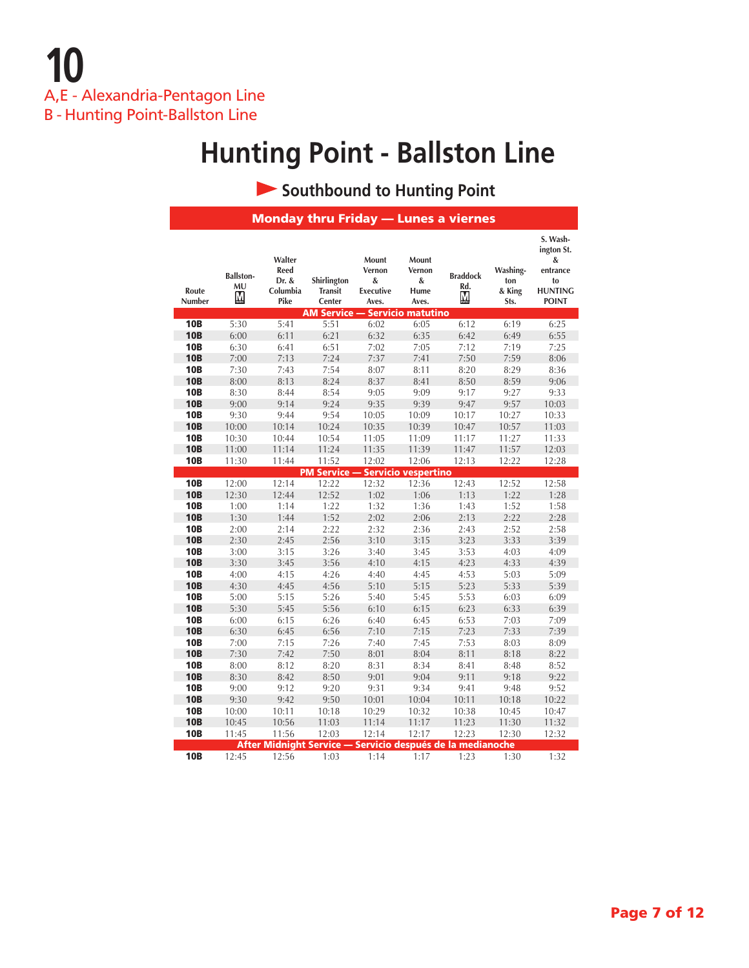### **Southbound to Hunting Point**

|                 |                             |                                             |                                         |                                                   |                                       | <b>Monday thru Friday - Lunes a viernes</b>                |                                   |                                                                                 |
|-----------------|-----------------------------|---------------------------------------------|-----------------------------------------|---------------------------------------------------|---------------------------------------|------------------------------------------------------------|-----------------------------------|---------------------------------------------------------------------------------|
| Route<br>Number | <b>Ballston-</b><br>MU<br>M | Walter<br>Reed<br>Dr. &<br>Columbia<br>Pike | Shirlington<br><b>Transit</b><br>Center | Mount<br>Vernon<br>&<br><b>Executive</b><br>Aves. | Mount<br>Vernon<br>&<br>Hume<br>Aves. | <b>Braddock</b><br>Rd.<br>M                                | Washing-<br>ton<br>& King<br>Sts. | S. Wash-<br>ington St.<br>&<br>entrance<br>to<br><b>HUNTING</b><br><b>POINT</b> |
|                 |                             |                                             | AM Service — Servicio matutino          |                                                   |                                       |                                                            |                                   |                                                                                 |
| <b>10B</b>      | 5:30                        | 5:41                                        | 5:51                                    | 6:02                                              | 6:05                                  | 6:12                                                       | 6:19                              | 6:25                                                                            |
| <b>10B</b>      | 6:00                        | 6:11                                        | 6:21                                    | 6:32                                              | 6:35                                  | 6:42                                                       | 6:49                              | 6:55                                                                            |
| <b>10B</b>      | 6:30                        | 6:41                                        | 6:51                                    | 7:02                                              | 7:05                                  | 7:12                                                       | 7:19                              | 7:25                                                                            |
| <b>10B</b>      | 7:00                        | 7:13                                        | 7:24                                    | 7:37                                              | 7:41                                  | 7:50                                                       | 7:59                              | 8:06                                                                            |
| <b>10B</b>      | 7:30                        | 7:43                                        | 7:54                                    | 8:07                                              | 8:11                                  | 8:20                                                       | 8:29                              | 8:36                                                                            |
| <b>10B</b>      | 8:00                        | 8:13                                        | 8:24                                    | 8:37                                              | 8:41                                  | 8:50                                                       | 8:59                              | 9:06                                                                            |
| <b>10B</b>      | 8:30                        | 8:44                                        | 8:54                                    | 9:05                                              | 9:09                                  | 9:17                                                       | 9:27                              | 9:33                                                                            |
| <b>10B</b>      | 9:00                        | 9:14                                        | 9:24                                    | 9:35                                              | 9:39                                  | 9:47                                                       | 9:57                              | 10:03                                                                           |
| <b>10B</b>      | 9:30                        | 9:44                                        | 9:54                                    | 10:05                                             | 10:09                                 | 10:17                                                      | 10:27                             | 10:33                                                                           |
| <b>10B</b>      | 10:00                       | 10:14                                       | 10:24                                   | 10:35                                             | 10:39                                 | 10:47                                                      | 10:57                             | 11:03                                                                           |
| <b>10B</b>      | 10:30                       | 10:44                                       | 10:54                                   | 11:05                                             | 11:09                                 | 11:17                                                      | 11:27                             | 11:33                                                                           |
| <b>10B</b>      | 11:00                       | 11:14                                       | 11:24                                   | 11:35                                             | 11:39                                 | 11:47                                                      | 11:57                             | 12:03                                                                           |
| <b>10B</b>      | 11:30                       | 11:44                                       | 11:52                                   | 12:02                                             | 12:06                                 | 12:13                                                      | 12:22                             | 12:28                                                                           |
|                 |                             |                                             | <b>PM Service -</b>                     |                                                   | Servicio vespertino                   |                                                            |                                   |                                                                                 |
| <b>10B</b>      | 12:00                       | 12:14                                       | 12:22                                   | 12:32                                             | 12:36                                 | 12:43                                                      | 12:52                             | 12:58                                                                           |
| <b>10B</b>      | 12:30                       | 12:44                                       | 12:52                                   | 1:02                                              | 1:06                                  | 1:13                                                       | 1:22                              | 1:28                                                                            |
| <b>10B</b>      | 1:00                        | 1:14                                        | 1:22                                    | 1:32                                              | 1:36                                  | 1:43                                                       | 1:52                              | 1:58                                                                            |
| <b>10B</b>      | 1:30                        | 1:44                                        | 1:52                                    | 2:02                                              | 2:06                                  | 2:13                                                       | 2:22                              | 2:28                                                                            |
| <b>10B</b>      | 2:00                        | 2:14                                        | 2:22                                    | 2:32                                              | 2:36                                  | 2:43                                                       | 2:52                              | 2:58                                                                            |
| <b>10B</b>      | 2:30                        | 2:45                                        | 2:56                                    | 3:10                                              | 3:15                                  | 3:23                                                       | 3:33                              | 3:39                                                                            |
| <b>10B</b>      | 3:00                        | 3:15                                        | 3:26                                    | 3:40                                              | 3:45                                  | 3:53                                                       | 4:03                              | 4:09                                                                            |
| <b>10B</b>      | 3:30                        | 3:45                                        | 3:56                                    | 4:10                                              | 4:15                                  | 4:23                                                       | 4:33                              | 4:39                                                                            |
| <b>10B</b>      | 4:00                        | 4:15                                        | 4:26                                    | 4:40                                              | 4:45                                  | 4:53                                                       | 5:03                              | 5:09                                                                            |
| <b>10B</b>      | 4:30                        | 4:45                                        | 4:56                                    | 5:10                                              | 5:15                                  | 5:23                                                       | 5:33                              | 5:39                                                                            |
| <b>10B</b>      | 5:00                        | 5:15                                        | 5:26                                    | 5:40                                              | 5:45                                  | 5:53                                                       | 6:03                              | 6:09                                                                            |
| <b>10B</b>      | 5:30                        | 5:45                                        | 5:56                                    | 6:10                                              | 6:15                                  | 6:23                                                       | 6:33                              | 6:39                                                                            |
| <b>10B</b>      | 6:00                        | 6:15                                        | 6:26                                    | 6:40                                              | 6:45                                  | 6:53                                                       | 7:03                              | 7:09                                                                            |
| <b>10B</b>      | 6:30                        | 6:45                                        | 6:56                                    | 7:10                                              | 7:15                                  | 7:23                                                       | 7:33                              | 7:39                                                                            |
| <b>10B</b>      | 7:00                        | 7:15                                        | 7:26                                    | 7:40                                              | 7:45                                  | 7:53                                                       | 8:03                              | 8:09                                                                            |
| <b>10B</b>      | 7:30                        | 7:42                                        | 7:50                                    | 8:01                                              | 8:04                                  | 8:11                                                       | 8:18                              | 8:22                                                                            |
| <b>10B</b>      | 8:00                        | 8:12                                        | 8:20                                    | 8:31                                              | 8:34                                  | 8:41                                                       | 8:48                              | 8:52                                                                            |
| <b>10B</b>      | 8:30                        | 8:42                                        | 8:50                                    | 9:01                                              | 9:04                                  | 9:11                                                       | 9:18                              | 9:22                                                                            |
| <b>10B</b>      | 9:00                        | 9:12                                        | 9:20                                    | 9:31                                              | 9:34                                  | 9:41                                                       | 9:48                              | 9:52                                                                            |
| <b>10B</b>      | 9:30                        | 9:42                                        | 9:50                                    | 10:01                                             | 10:04                                 | 10:11                                                      | 10:18                             | 10:22                                                                           |
| <b>10B</b>      | 10:00                       | 10:11                                       | 10:18                                   | 10:29                                             | 10:32                                 | 10:38                                                      | 10:45                             | 10:47                                                                           |
| <b>10B</b>      | 10:45                       | 10:56                                       | 11:03                                   | 11:14                                             | 11:17                                 | 11:23                                                      | 11:30                             | 11:32                                                                           |
| <b>10B</b>      | 11:45                       | 11:56                                       | 12:03                                   | 12:14                                             | 12:17                                 | 12:23                                                      | 12:30                             | 12:32                                                                           |
| <b>10B</b>      | 12:45                       |                                             |                                         | 1:14                                              | 1:17                                  | After Midnight Service — Servicio después de la medianoche |                                   | 1:32                                                                            |
|                 |                             | 12:56                                       | 1:03                                    |                                                   |                                       | 1:23                                                       | 1:30                              |                                                                                 |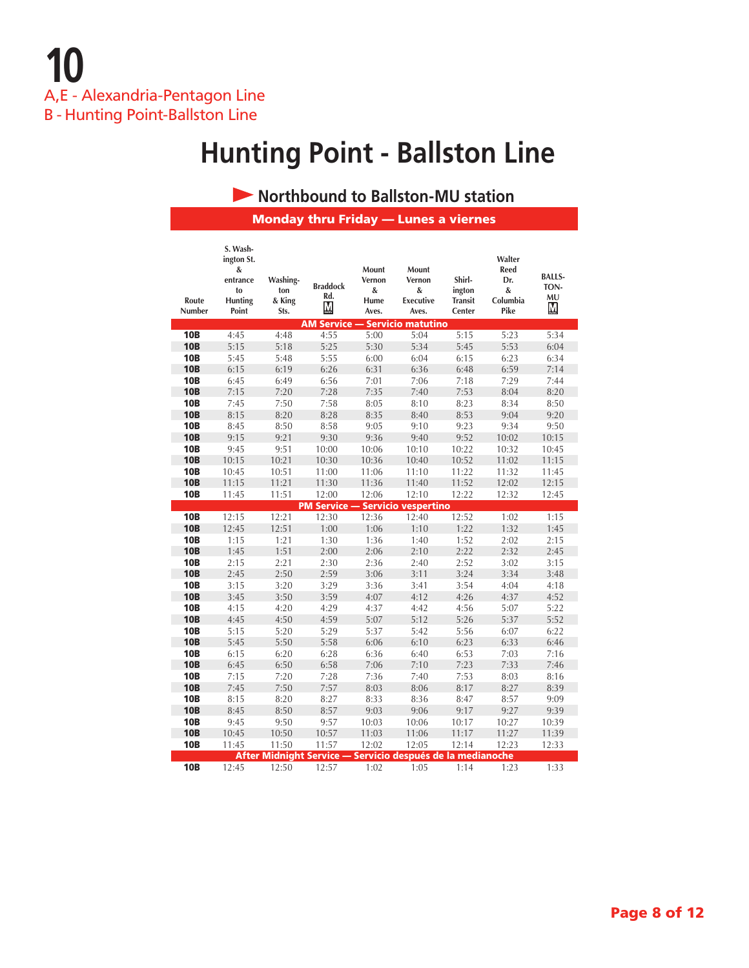#### **• Northbound to Ballston-MU station**

Monday thru Friday — Lunes a viernes

| Route<br>Number          | S. Wash-<br>ington St.<br>&<br>entrance<br>to<br><b>Hunting</b><br>Point | Washing-<br>ton<br>& King<br>Sts. | <b>Braddock</b><br>Rd.<br>М | Mount<br>Vernon<br>&<br>Hume<br>Aves. | Mount<br>Vernon<br>&<br><b>Executive</b><br>Aves. | Shirl-<br>ington<br><b>Transit</b><br>Center | Walter<br><b>Reed</b><br>Dr.<br>&<br>Columbia<br>Pike | <b>BALLS-</b><br>TON-<br>MU<br>M, |
|--------------------------|--------------------------------------------------------------------------|-----------------------------------|-----------------------------|---------------------------------------|---------------------------------------------------|----------------------------------------------|-------------------------------------------------------|-----------------------------------|
|                          |                                                                          |                                   | <b>AM Service -</b>         |                                       | <b>Servicio matutino</b>                          |                                              |                                                       |                                   |
| <b>10B</b>               | 4:45                                                                     | 4:48                              | 4:55                        | 5:00                                  | 5:04                                              | 5:15                                         | 5:23                                                  | 5:34                              |
| <b>10B</b>               | 5:15                                                                     | 5:18                              | 5:25                        | 5:30                                  | 5:34                                              | 5:45                                         | 5:53                                                  | 6:04                              |
| <b>10B</b>               | 5:45                                                                     | 5:48                              | 5:55                        | 6:00                                  | 6:04                                              | 6:15                                         | 6:23                                                  | 6:34                              |
| <b>10B</b>               | 6:15                                                                     | 6:19                              | 6:26                        | 6:31                                  | 6:36                                              | 6:48                                         | 6:59                                                  | 7:14                              |
| <b>10B</b>               | 6:45                                                                     | 6:49                              | 6:56                        | 7:01                                  | 7:06                                              | 7:18                                         | 7:29                                                  | 7:44                              |
| <b>10B</b>               | 7:15                                                                     | 7:20                              | 7:28                        | 7:35                                  | 7:40                                              | 7:53                                         | 8:04                                                  | 8:20                              |
| <b>10B</b>               | 7:45                                                                     | 7:50                              | 7:58                        | 8:05                                  | 8:10                                              | 8:23                                         | 8:34                                                  | 8:50                              |
| <b>10B</b>               | 8:15                                                                     | 8:20                              | 8:28                        | 8:35                                  | 8:40                                              | 8:53                                         | 9:04                                                  | 9:20                              |
| <b>10B</b>               | 8:45                                                                     | 8:50                              | 8:58                        | 9:05                                  | 9:10                                              | 9:23                                         | 9:34                                                  | 9:50                              |
| <b>10B</b>               | 9:15                                                                     | 9:21                              | 9:30                        | 9:36                                  | 9:40                                              | 9:52                                         | 10:02                                                 | 10:15                             |
| <b>10B</b>               | 9:45                                                                     | 9:51                              | 10:00                       | 10:06                                 | 10:10                                             | 10:22                                        | 10:32                                                 | 10:45                             |
| <b>10B</b>               | 10:15                                                                    | 10:21                             | 10:30                       | 10:36                                 | 10:40                                             | 10:52                                        | 11:02                                                 | 11:15                             |
| <b>10B</b>               | 10:45                                                                    | 10:51                             | 11:00                       | 11:06                                 | 11:10                                             | 11:22                                        | 11:32                                                 | 11:45                             |
| <b>10B</b>               | 11:15                                                                    | 11:21                             | 11:30                       | 11:36                                 | 11:40                                             | 11:52                                        | 12:02                                                 | 12:15                             |
| <b>10B</b>               | 11:45                                                                    | 11:51                             | 12:00                       | 12:06                                 | 12:10                                             | 12:22                                        | 12:32                                                 | 12:45                             |
|                          |                                                                          |                                   |                             |                                       | <b>PM Service - Servicio vespertino</b>           |                                              |                                                       |                                   |
| <b>10B</b>               | 12:15                                                                    | 12:21                             | 12:30                       | 12:36                                 | 12:40                                             | 12:52                                        | 1:02                                                  | 1:15                              |
| <b>10B</b>               | 12:45                                                                    | 12:51                             | 1:00                        | 1:06                                  | 1:10                                              | 1:22                                         | 1:32                                                  | 1:45                              |
| <b>10B</b><br><b>10B</b> | 1:15<br>1:45                                                             | 1:21<br>1:51                      | 1:30<br>2:00                | 1:36<br>2:06                          | 1:40<br>2:10                                      | 1:52<br>2:22                                 | 2:02<br>2:32                                          | 2:15                              |
| <b>10B</b>               | 2:15                                                                     | 2:21                              | 2:30                        | 2:36                                  | 2:40                                              | 2:52                                         | 3:02                                                  | 2:45<br>3:15                      |
| <b>10B</b>               | 2:45                                                                     | 2:50                              | 2:59                        | 3:06                                  | 3:11                                              | 3:24                                         | 3:34                                                  | 3:48                              |
| <b>10B</b>               | 3:15                                                                     | 3:20                              | 3:29                        | 3:36                                  | 3:41                                              | 3:54                                         | 4:04                                                  | 4:18                              |
| <b>10B</b>               | 3:45                                                                     | 3:50                              | 3:59                        | 4:07                                  | 4:12                                              | 4:26                                         | 4:37                                                  | 4:52                              |
| <b>10B</b>               | 4:15                                                                     | 4:20                              | 4:29                        | 4:37                                  | 4:42                                              | 4:56                                         | 5:07                                                  | 5:22                              |
| <b>10B</b>               | 4:45                                                                     | 4:50                              | 4:59                        | 5:07                                  | 5:12                                              | 5:26                                         | 5:37                                                  | 5:52                              |
| <b>10B</b>               | 5:15                                                                     | 5:20                              | 5:29                        | 5:37                                  | 5:42                                              | 5:56                                         | 6:07                                                  | 6:22                              |
| <b>10B</b>               | 5:45                                                                     | 5:50                              | 5:58                        | 6:06                                  | 6:10                                              | 6:23                                         | 6:33                                                  | 6:46                              |
| <b>10B</b>               | 6:15                                                                     | 6:20                              | 6:28                        | 6:36                                  | 6:40                                              | 6:53                                         | 7:03                                                  | 7:16                              |
| <b>10B</b>               | 6:45                                                                     | 6:50                              | 6:58                        | 7:06                                  | 7:10                                              | 7:23                                         | 7:33                                                  | 7:46                              |
| <b>10B</b>               | 7:15                                                                     | 7:20                              | 7:28                        | 7:36                                  | 7:40                                              | 7:53                                         | 8:03                                                  | 8:16                              |
| <b>10B</b>               | 7:45                                                                     | 7:50                              | 7:57                        | 8:03                                  | 8:06                                              | 8:17                                         | 8:27                                                  | 8:39                              |
| <b>10B</b>               | 8:15                                                                     | 8:20                              | 8:27                        | 8:33                                  | 8:36                                              | 8:47                                         | 8:57                                                  | 9:09                              |
| <b>10B</b>               | 8:45                                                                     | 8:50                              | 8:57                        | 9:03                                  | 9:06                                              | 9:17                                         | 9:27                                                  | 9:39                              |
| <b>10B</b>               | 9:45                                                                     | 9:50                              | 9:57                        | 10:03                                 | 10:06                                             | 10:17                                        | 10:27                                                 | 10:39                             |
| <b>10B</b>               | 10:45                                                                    | 10:50                             | 10:57                       | 11:03                                 | 11:06                                             | 11:17                                        | 11:27                                                 | 11:39                             |
| <b>10B</b>               | 11:45                                                                    | 11:50                             | 11:57                       | 12:02                                 | 12:05                                             | 12:14                                        | 12:23                                                 | 12:33                             |
|                          |                                                                          | <b>After Midnight Service -</b>   |                             |                                       | Servicio después de la medianoche                 |                                              |                                                       |                                   |
| <b>10B</b>               | 12:45                                                                    | 12:50                             | 12:57                       | 1:02                                  | 1:05                                              | 1:14                                         | 1:23                                                  | 1:33                              |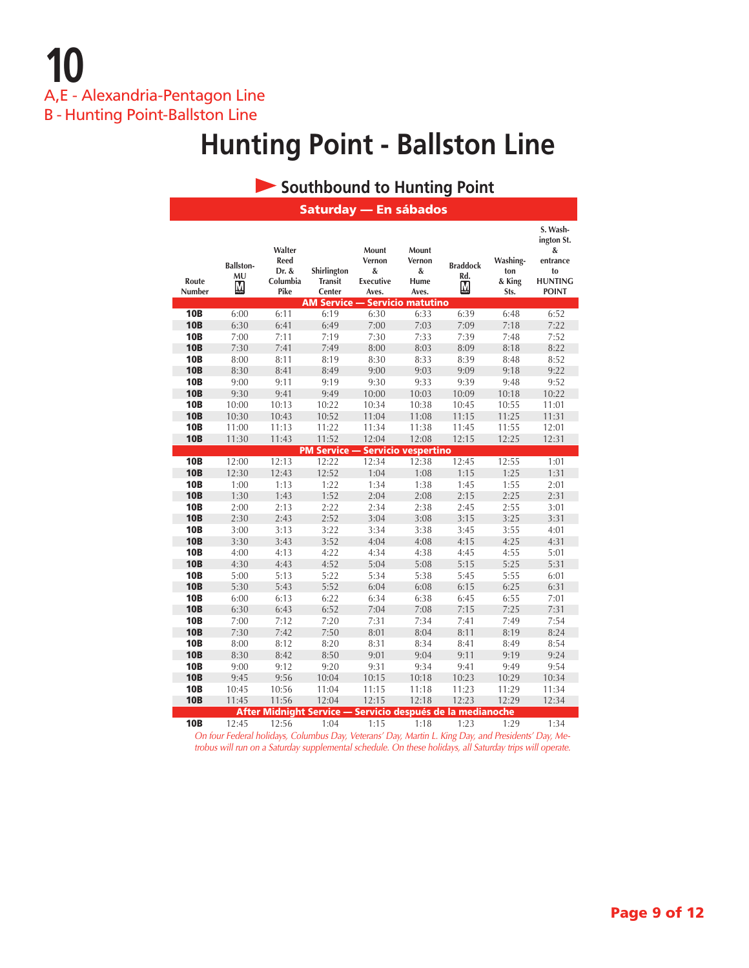### **Southbound to Hunting Point**

|                 |                             |                                                    | Saturday — En sábados                                              |                                                   |                                       |                                                    |                                   |                                                                                 |
|-----------------|-----------------------------|----------------------------------------------------|--------------------------------------------------------------------|---------------------------------------------------|---------------------------------------|----------------------------------------------------|-----------------------------------|---------------------------------------------------------------------------------|
| Route<br>Number | <b>Ballston-</b><br>MU<br>M | Walter<br><b>Reed</b><br>Dr. &<br>Columbia<br>Pike | Shirlington<br><b>Transit</b><br>Center                            | Mount<br>Vernon<br>&<br><b>Executive</b><br>Aves. | Mount<br>Vernon<br>&<br>Hume<br>Aves. | <b>Braddock</b><br>Rd.<br>$\underline{\mathbf{M}}$ | Washing-<br>ton<br>& King<br>Sts. | S. Wash-<br>ington St.<br>&<br>entrance<br>to<br><b>HUNTING</b><br><b>POINT</b> |
| <b>10B</b>      | 6:00                        | 6:11                                               | AM Service — Servicio matutino<br>6:19                             | 6:30                                              | 6:33                                  | 6:39                                               | 6:48                              | 6:52                                                                            |
| <b>10B</b>      | 6:30                        | 6:41                                               | 6:49                                                               | 7:00                                              | 7:03                                  | 7:09                                               | 7:18                              | 7:22                                                                            |
| <b>10B</b>      | 7:00                        | 7:11                                               | 7:19                                                               | 7:30                                              | 7:33                                  | 7:39                                               | 7:48                              | 7:52                                                                            |
| <b>10B</b>      | 7:30                        | 7:41                                               | 7:49                                                               | 8:00                                              | 8:03                                  | 8:09                                               | 8:18                              | 8:22                                                                            |
| <b>10B</b>      | 8:00                        | 8:11                                               | 8:19                                                               | 8:30                                              | 8:33                                  | 8:39                                               | 8:48                              | 8:52                                                                            |
| <b>10B</b>      | 8:30                        | 8:41                                               | 8:49                                                               | 9:00                                              | 9:03                                  | 9:09                                               | 9:18                              | 9:22                                                                            |
| <b>10B</b>      | 9:00                        | 9:11                                               | 9:19                                                               | 9:30                                              | 9:33                                  | 9:39                                               | 9:48                              | 9:52                                                                            |
| <b>10B</b>      | 9:30                        | 9:41                                               | 9:49                                                               | 10:00                                             | 10:03                                 | 10:09                                              | 10:18                             | 10:22                                                                           |
| <b>10B</b>      | 10:00                       | 10:13                                              | 10:22                                                              | 10:34                                             | 10:38                                 | 10:45                                              | 10:55                             | 11:01                                                                           |
| <b>10B</b>      | 10:30                       | 10:43                                              | 10:52                                                              | 11:04                                             | 11:08                                 | 11:15                                              | 11:25                             | 11:31                                                                           |
| <b>10B</b>      | 11:00                       | 11:13                                              | 11:22                                                              | 11:34                                             | 11:38                                 | 11:45                                              | 11:55                             | 12:01                                                                           |
| <b>10B</b>      | 11:30                       | 11:43                                              | 11:52                                                              | 12:04                                             | 12:08                                 | 12:15                                              | 12:25                             | 12:31                                                                           |
|                 |                             |                                                    | <b>PM Service -</b>                                                |                                                   | <u>- Servicio vespertino</u>          |                                                    |                                   |                                                                                 |
| <b>10B</b>      | 12:00                       | 12:13                                              | 12:22                                                              | 12:34                                             | 12:38                                 | 12:45                                              | 12:55                             | 1:01                                                                            |
| <b>10B</b>      | 12:30                       | 12:43                                              | 12:52                                                              | 1:04                                              | 1:08                                  | 1:15                                               | 1:25                              | 1:31                                                                            |
| <b>10B</b>      | 1:00                        | 1:13                                               | 1:22                                                               | 1:34                                              | 1:38                                  | 1:45                                               | 1:55                              | 2:01                                                                            |
| <b>10B</b>      | 1:30                        | 1:43                                               | 1:52                                                               | 2:04                                              | 2:08                                  | 2:15                                               | 2:25                              | 2:31                                                                            |
| <b>10B</b>      | 2:00                        | 2:13                                               | 2:22                                                               | 2:34                                              | 2:38                                  | 2:45                                               | 2:55                              | 3:01                                                                            |
| <b>10B</b>      | 2:30                        | 2:43                                               | 2:52                                                               | 3:04                                              | 3:08                                  | 3:15                                               | 3:25                              | 3:31                                                                            |
| <b>10B</b>      | 3:00                        | 3:13                                               | 3:22                                                               | 3:34                                              | 3:38                                  | 3:45                                               | 3:55                              | 4:01                                                                            |
| <b>10B</b>      | 3:30                        | 3:43                                               | 3:52                                                               | 4:04                                              | 4:08                                  | 4:15                                               | 4:25                              | 4:31                                                                            |
| <b>10B</b>      | 4:00                        | 4:13                                               | 4:22                                                               | 4:34                                              | 4:38                                  | 4:45                                               | 4:55                              | 5:01                                                                            |
| <b>10B</b>      | 4:30                        | 4:43                                               | 4:52                                                               | 5:04                                              | 5:08                                  | 5:15                                               | 5:25                              | 5:31                                                                            |
| <b>10B</b>      | 5:00                        | 5:13                                               | 5:22                                                               | 5:34                                              | 5:38                                  | 5:45                                               | 5:55                              | 6:01                                                                            |
| <b>10B</b>      | 5:30                        | 5:43                                               | 5:52                                                               | 6:04                                              | 6:08                                  | 6:15                                               | 6:25                              | 6:31                                                                            |
| <b>10B</b>      | 6:00                        | 6:13                                               | 6:22                                                               | 6:34                                              | 6:38                                  | 6:45                                               | 6:55                              | 7:01                                                                            |
| <b>10B</b>      | 6:30                        | 6:43                                               | 6:52                                                               | 7:04                                              | 7:08                                  | 7:15                                               | 7:25                              | 7:31                                                                            |
| <b>10B</b>      | 7:00                        | 7:12                                               | 7:20                                                               | 7:31                                              | 7:34                                  | 7:41                                               | 7:49                              | 7:54                                                                            |
| <b>10B</b>      | 7:30                        | 7:42                                               | 7:50                                                               | 8:01                                              | 8:04                                  | 8:11                                               | 8:19                              | 8:24                                                                            |
| <b>10B</b>      | 8:00                        | 8:12                                               | 8:20                                                               | 8:31                                              | 8:34                                  | 8:41                                               | 8:49                              | 8:54                                                                            |
| <b>10B</b>      | 8:30                        | 8:42                                               | 8:50                                                               | 9:01                                              | 9:04                                  | 9:11                                               | 9:19                              | 9:24                                                                            |
| <b>10B</b>      | 9:00                        | 9:12                                               | 9:20                                                               | 9:31                                              | 9:34                                  | 9:41                                               | 9:49                              | 9:54                                                                            |
| <b>10B</b>      | 9:45                        | 9:56                                               | 10:04                                                              | 10:15                                             | 10:18                                 | 10:23                                              | 10:29                             | 10:34                                                                           |
| <b>10B</b>      | 10:45                       | 10:56                                              | 11:04                                                              | 11:15                                             | 11:18                                 | 11:23                                              | 11:29                             | 11:34                                                                           |
| <b>10B</b>      | 11:45                       | 11:56                                              | 12:04                                                              | 12:15                                             | 12:18                                 | 12:23                                              | 12:29                             | 12:34                                                                           |
| <b>10B</b>      | 12:45                       | 12:56                                              | After Midnight Service — Servicio después de la medianoche<br>1:04 | 1:15                                              | 1:18                                  | 1:23                                               | 1:29                              | 1:34                                                                            |
|                 |                             |                                                    |                                                                    |                                                   |                                       |                                                    |                                   |                                                                                 |

*On four Federal holidays, Columbus Day, Veterans' Day, Martin L. King Day, and Presidents' Day, Metrobus will run on a Saturday supplemental schedule. On these holidays, all Saturday trips will operate.*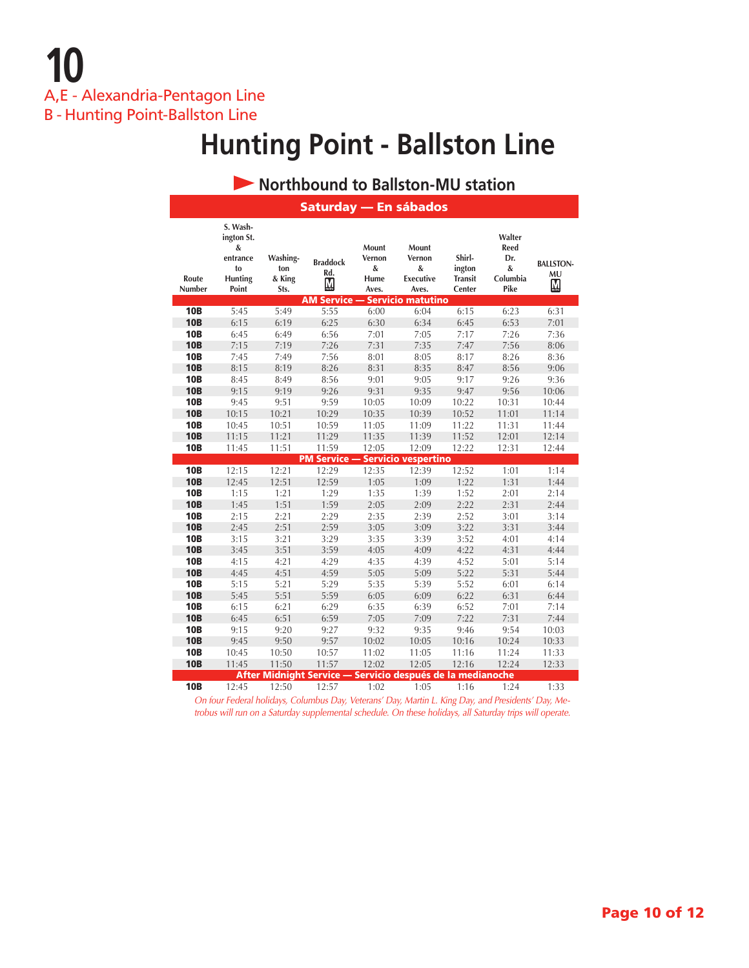**10** A,E - Alexandria-Pentagon Line B - Hunting Point-Ballston Line

# **Hunting Point - Ballston Line**

#### **Route Number S. Washington St. & entrance to Hunting Point Washington & King Sts. Braddock Rd. Mount Vernon & Hume Aves. Mount Vernon & Executive Aves. Shirlington Transit Center Walter Reed Dr. & Columbia Pike BALLSTON-MU • Northbound to Ballston-MU station** Saturday — En sábados **Service — Servicio matut 10B** 5:45 5:49 5:55 6:00 6:04 6:15 6:23 6:31 **10B** 6:15 6:19 6:25 6:30 6:34 6:45 6:53 7:01 **10B** 6:45 6:49 6:56 7:01 7:05 7:17 7:26 7:36 **10B** 7:15 7:19 7:26 7:31 7:35 7:47 7:56 8:06 **10B** 7:45 7:49 7:56 8:01 8:05 8:17 8:26 8:36 **10B** 8:15 8:19 8:26 8:31 8:35 8:47 8:56 9:06 **10B** 8:45 8:49 8:56 9:01 9:05 9:17 9:26 9:36 **10B** 9:15 9:19 9:26 9:31 9:35 9:47 9:56 10:06 **10B** 9:45 9:51 9:59 10:05 10:09 10:22 10:31 10:44 **10B** 10:15 10:21 10:29 10:35 10:39 10:52 11:01 11:14 **10B** 10:45 10:51 10:59 11:05 11:09 11:22 11:31 11:44 **10B** 11:15 11:21 11:29 11:35 11:39 11:52 12:01 12:14 **10B** 11:45 11:51 11:59 12:05 12:09 12:22 12:31 12:44 **Service — Servicio vespertino 10B** 12:15 12:21 12:29 12:35 12:39 12:52 1:01 1:14 **10B** 12:45 12:51 12:59 1:05 1:09 1:22 1:31 1:44 **10B** 1:15 1:21 1:29 1:35 1:39 1:52 2:01 2:14 **10B** 1:45 1:51 1:59 2:05 2:09 2:22 2:31 2:44 **10B** 2:15 2:21 2:29 2:35 2:39 2:52 3:01 3:14 **10B** 2:45 2:51 2:59 3:05 3:09 3:22 3:31 3:44 **10B** 3:15 3:21 3:29 3:35 3:39 3:52 4:01 4:14 **10B** 3:45 3:51 3:59 4:05 4:09 4:22 4:31 4:44 **10B** 4:15 4:21 4:29 4:35 4:39 4:52 5:01 5:14 **10B** 4:45 4:51 4:59 5:05 5:09 5:22 5:31 5:44 **10B** 5:15 5:21 5:29 5:35 5:39 5:52 6:01 6:14 10B 5:45 5:51 5:59 6:05 6:09 6:22 6:31 6:44 **10B** 6:15 6:21 6:29 6:35 6:39 6:52 7:01 7:14 **10B** 6:45 6:51 6:59 7:05 7:09 7:22 7:31 7:44 **10B** 9:15 9:20 9:27 9:32 9:35 9:46 9:54 10:03 **10B** 9:45 9:50 9:57 10:02 10:05 10:16 10:24 10:33 **10B** 10:45 10:50 10:57 11:02 11:05 11:16 11:24 11:33 **10B** 11:45 11:50 11:57 12:02 12:05 12:16 12:24 12:33 After Midnight Service — Servicio después de la medianoche **10B** 12:45 12:50 12:57 1:02 1:05 1:16 1:24 1:33

*On four Federal holidays, Columbus Day, Veterans' Day, Martin L. King Day, and Presidents' Day, Metrobus will run on a Saturday supplemental schedule. On these holidays, all Saturday trips will operate.*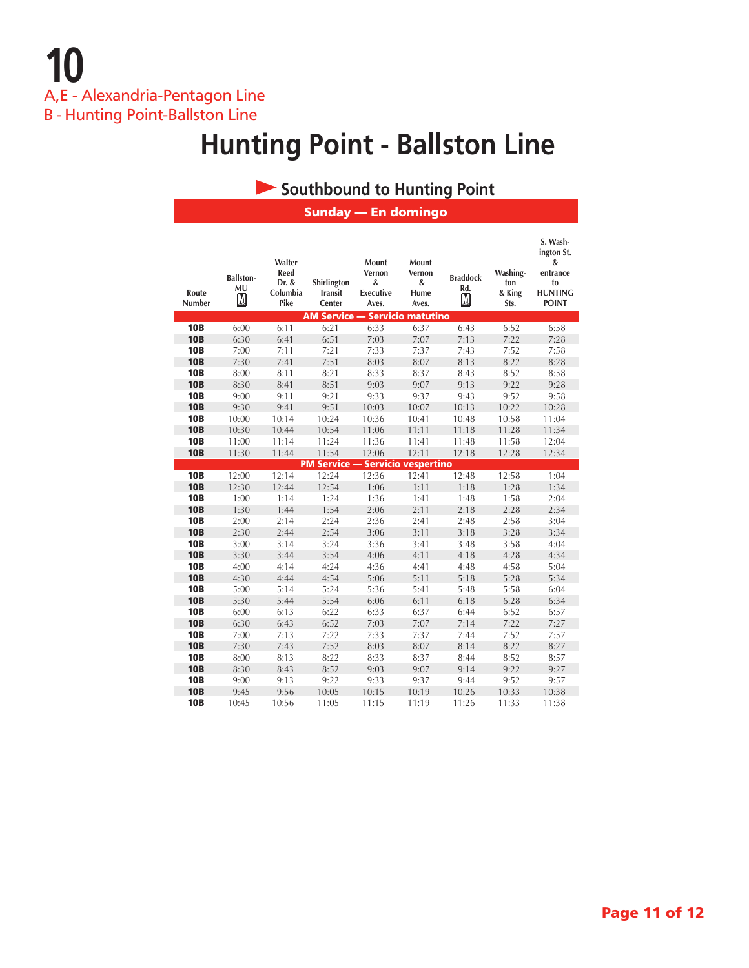**10** A,E - Alexandria-Pentagon Line B - Hunting Point-Ballston Line

## **Hunting Point - Ballston Line**

#### **Southbound to Hunting Point**

Sunday — En domingo

| Route<br>Number | <b>Ballston-</b><br>MU<br>М | Walter<br>Reed<br>Dr. &<br>Columbia<br>Pike | Shirlington<br><b>Transit</b><br>Center | Mount<br>Vernon<br>&<br><b>Executive</b><br>Aves. | Mount<br>Vernon<br>&<br>Hume<br>Aves. | <b>Braddock</b><br>Rd.<br><u>M</u> | Washing-<br>ton<br>& King<br>Sts. | S. Wash-<br>ington St.<br>&<br>entrance<br>to<br><b>HUNTING</b><br><b>POINT</b> |
|-----------------|-----------------------------|---------------------------------------------|-----------------------------------------|---------------------------------------------------|---------------------------------------|------------------------------------|-----------------------------------|---------------------------------------------------------------------------------|
|                 |                             |                                             | <b>AM Service -</b>                     |                                                   | <u><b>Servicio matutino</b></u>       |                                    |                                   |                                                                                 |
| <b>10B</b>      | 6:00                        | 6:11                                        | 6:21                                    | 6:33                                              | 6:37                                  | 6:43                               | 6:52                              | 6:58                                                                            |
| <b>10B</b>      | 6:30                        | 6:41                                        | 6:51                                    | 7:03                                              | 7:07                                  | 7:13                               | 7:22                              | 7:28                                                                            |
| <b>10B</b>      | 7:00                        | 7:11                                        | 7:21                                    | 7:33                                              | 7:37                                  | 7:43                               | 7:52                              | 7:58                                                                            |
| <b>10B</b>      | 7:30                        | 7:41                                        | 7:51                                    | 8:03                                              | 8:07                                  | 8:13                               | 8:22                              | 8:28                                                                            |
| <b>10B</b>      | 8:00                        | 8:11                                        | 8:21                                    | 8:33                                              | 8:37                                  | 8:43                               | 8:52                              | 8:58                                                                            |
| <b>10B</b>      | 8:30                        | 8:41                                        | 8:51                                    | 9:03                                              | 9:07                                  | 9:13                               | 9:22                              | 9:28                                                                            |
| <b>10B</b>      | 9:00                        | 9:11                                        | 9:21                                    | 9:33                                              | 9:37                                  | 9:43                               | 9:52                              | 9:58                                                                            |
| <b>10B</b>      | 9:30                        | 9:41                                        | 9:51                                    | 10:03                                             | 10:07                                 | 10:13                              | 10:22                             | 10:28                                                                           |
| <b>10B</b>      | 10:00                       | 10:14                                       | 10:24                                   | 10:36                                             | 10:41                                 | 10:48                              | 10:58                             | 11:04                                                                           |
| <b>10B</b>      | 10:30                       | 10:44                                       | 10:54                                   | 11:06                                             | 11:11                                 | 11:18                              | 11:28                             | 11:34                                                                           |
| <b>10B</b>      | 11:00                       | 11:14                                       | 11:24                                   | 11:36                                             | 11:41                                 | 11:48                              | 11:58                             | 12:04                                                                           |
| <b>10B</b>      | 11:30                       | 11:44                                       | 11:54                                   | 12:06                                             | 12:11                                 | 12:18                              | 12:28                             | 12:34                                                                           |
|                 |                             |                                             | <b>PM Service - Servicio vespertino</b> |                                                   |                                       |                                    |                                   |                                                                                 |
| <b>10B</b>      | 12:00                       | 12:14                                       | 12:24                                   | 12:36                                             | 12:41                                 | 12:48                              | 12:58                             | 1:04                                                                            |
| <b>10B</b>      | 12:30                       | 12:44                                       | 12:54                                   | 1:06                                              | 1:11                                  | 1:18                               | 1:28                              | 1:34                                                                            |
| <b>10B</b>      | 1:00                        | 1:14                                        | 1:24                                    | 1:36                                              | 1:41                                  | 1:48                               | 1:58                              | 2:04                                                                            |
| <b>10B</b>      | 1:30                        | 1:44                                        | 1:54                                    | 2:06                                              | 2:11                                  | 2:18                               | 2:28                              | 2:34                                                                            |
| <b>10B</b>      | 2:00                        | 2:14                                        | 2:24                                    | 2:36                                              | 2:41                                  | 2:48                               | 2:58                              | 3:04                                                                            |
| <b>10B</b>      | 2:30                        | 2:44                                        | 2:54                                    | 3:06                                              | 3:11                                  | 3:18                               | 3:28                              | 3:34                                                                            |
| <b>10B</b>      | 3:00                        | 3:14                                        | 3:24                                    | 3:36                                              | 3:41                                  | 3:48                               | 3:58                              | 4:04                                                                            |
| <b>10B</b>      | 3:30                        | 3:44                                        | 3:54                                    | 4:06                                              | 4:11                                  | 4:18                               | 4:28                              | 4:34                                                                            |
| <b>10B</b>      | 4:00                        | 4:14                                        | 4:24                                    | 4:36                                              | 4:41                                  | 4:48                               | 4:58                              | 5:04                                                                            |
| <b>10B</b>      | 4:30                        | 4:44                                        | 4:54                                    | 5:06                                              | 5:11                                  | 5:18                               | 5:28                              | 5:34                                                                            |
| <b>10B</b>      | 5:00                        | 5:14                                        | 5:24                                    | 5:36                                              | 5:41                                  | 5:48                               | 5:58                              | 6:04                                                                            |
| <b>10B</b>      | 5:30                        | 5:44                                        | 5:54                                    | 6:06                                              | 6:11                                  | 6:18                               | 6:28                              | 6:34                                                                            |
| <b>10B</b>      | 6:00                        | 6:13                                        | 6:22                                    | 6:33                                              | 6:37                                  | 6:44                               | 6:52                              | 6:57                                                                            |
| <b>10B</b>      | 6:30                        | 6:43                                        | 6:52                                    | 7:03                                              | 7:07                                  | 7:14                               | 7:22                              | 7:27                                                                            |
| <b>10B</b>      | 7:00                        | 7:13                                        | 7:22                                    | 7:33                                              | 7:37                                  | 7:44                               | 7:52                              | 7:57                                                                            |
| <b>10B</b>      | 7:30                        | 7:43                                        | 7:52                                    | 8:03                                              | 8:07                                  | 8:14                               | 8:22                              | 8:27                                                                            |
| <b>10B</b>      | 8:00                        | 8:13                                        | 8:22                                    | 8:33                                              | 8:37                                  | 8:44                               | 8:52                              | 8:57                                                                            |
| <b>10B</b>      | 8:30                        | 8:43                                        | 8:52                                    | 9:03                                              | 9:07                                  | 9:14                               | 9:22                              | 9:27                                                                            |
| <b>10B</b>      | 9:00                        | 9:13                                        | 9:22                                    | 9:33                                              | 9:37                                  | 9:44                               | 9:52                              | 9:57                                                                            |
| <b>10B</b>      | 9:45                        | 9:56                                        | 10:05                                   | 10:15                                             | 10:19                                 | 10:26                              | 10:33                             | 10:38                                                                           |
| <b>10B</b>      | 10:45                       | 10:56                                       | 11:05                                   | 11:15                                             | 11:19                                 | 11:26                              | 11:33                             | 11:38                                                                           |